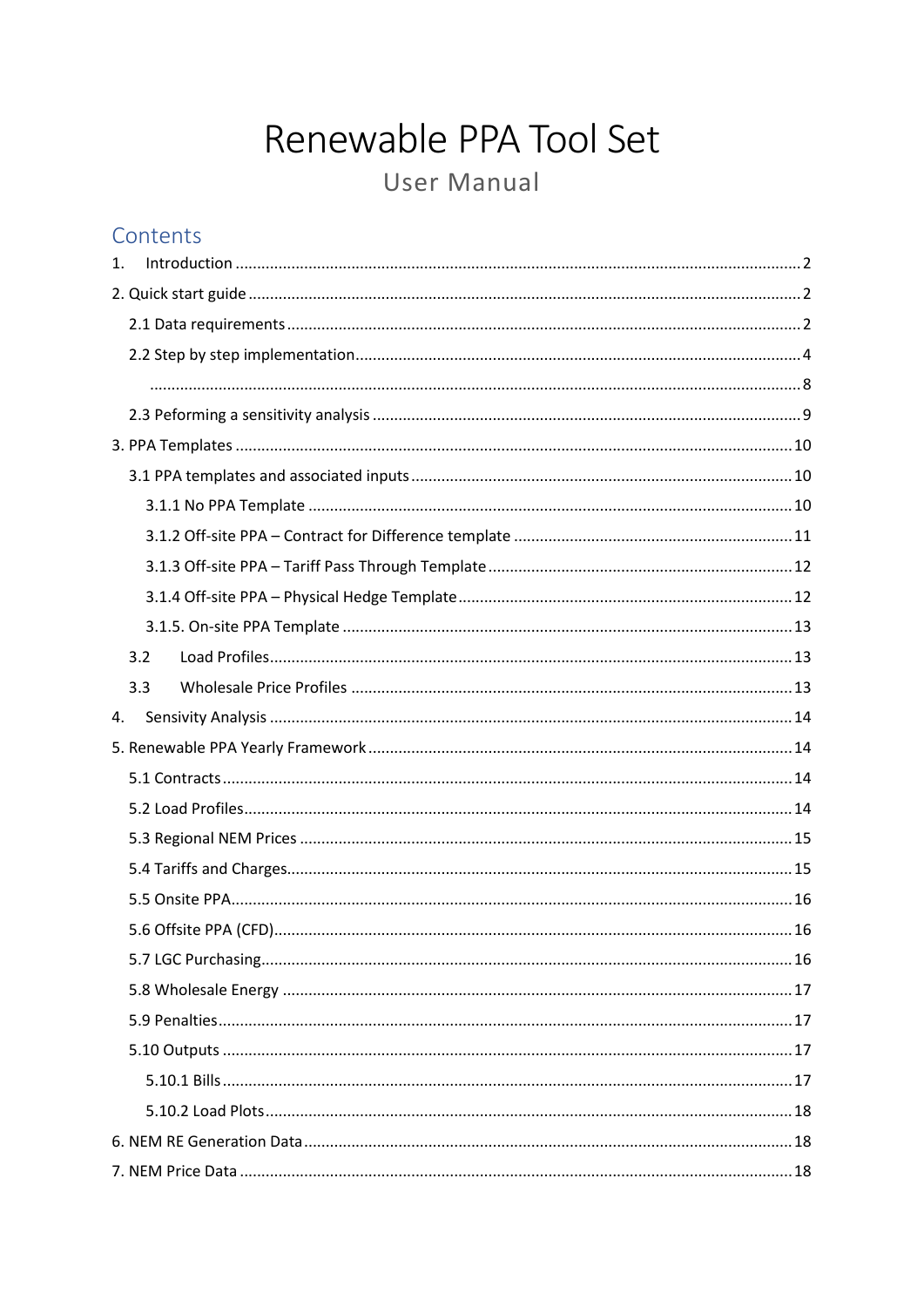# Renewable PPA Tool Set User Manual

# Contents

| 1.  |  |
|-----|--|
|     |  |
|     |  |
|     |  |
|     |  |
|     |  |
|     |  |
|     |  |
|     |  |
|     |  |
|     |  |
|     |  |
|     |  |
| 3.2 |  |
| 3.3 |  |
| 4.  |  |
|     |  |
|     |  |
|     |  |
|     |  |
|     |  |
|     |  |
|     |  |
|     |  |
|     |  |
|     |  |
|     |  |
|     |  |
|     |  |
|     |  |
|     |  |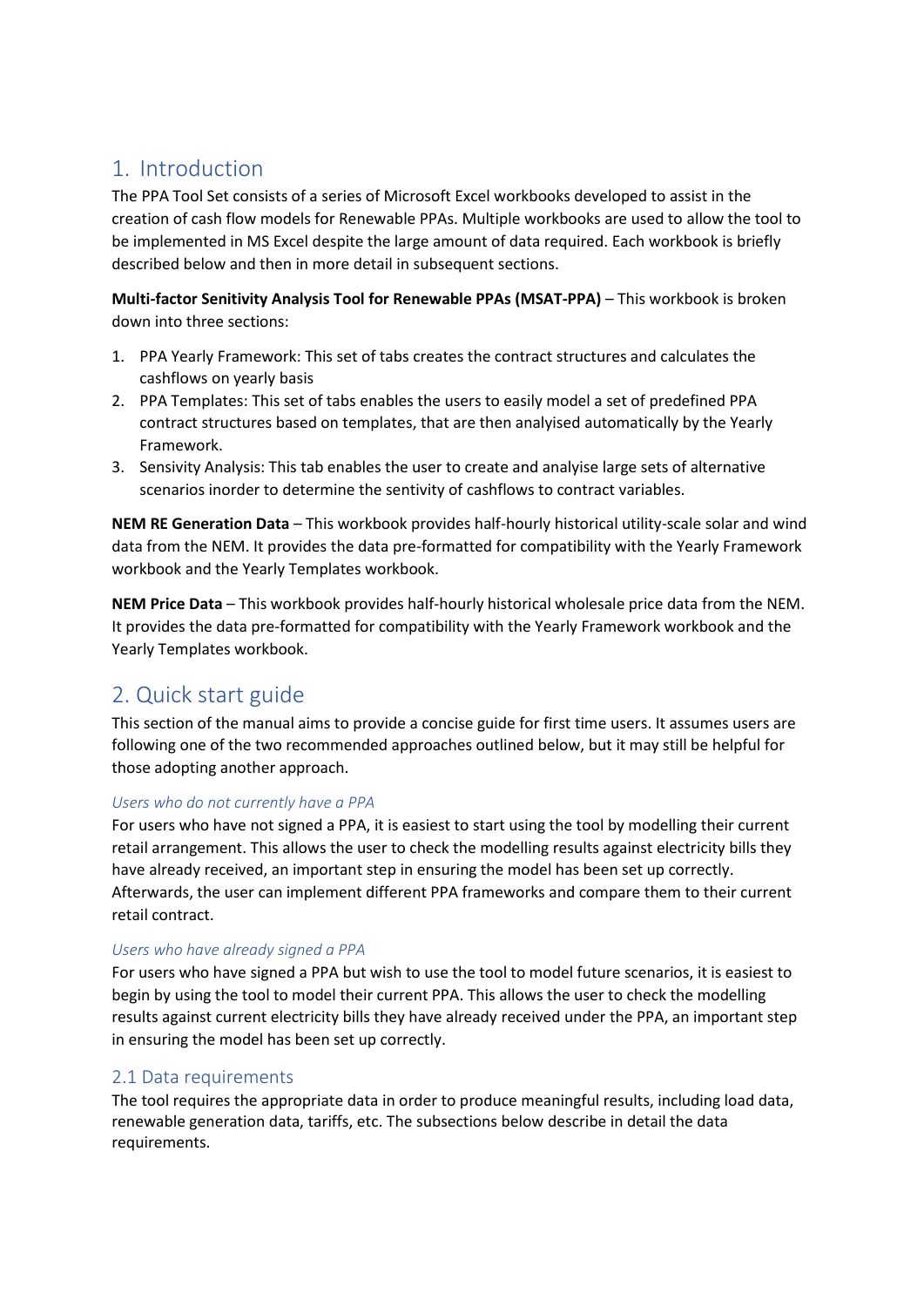# <span id="page-1-0"></span>1. Introduction

The PPA Tool Set consists of a series of Microsoft Excel workbooks developed to assist in the creation of cash flow models for Renewable PPAs. Multiple workbooks are used to allow the tool to be implemented in MS Excel despite the large amount of data required. Each workbook is briefly described below and then in more detail in subsequent sections.

**Multi-factor Senitivity Analysis Tool for Renewable PPAs (MSAT-PPA)** – This workbook is broken down into three sections:

- 1. PPA Yearly Framework: This set of tabs creates the contract structures and calculates the cashflows on yearly basis
- 2. PPA Templates: This set of tabs enables the users to easily model a set of predefined PPA contract structures based on templates, that are then analyised automatically by the Yearly Framework.
- 3. Sensivity Analysis: This tab enables the user to create and analyise large sets of alternative scenarios inorder to determine the sentivity of cashflows to contract variables.

**NEM RE Generation Data** – This workbook provides half-hourly historical utility-scale solar and wind data from the NEM. It provides the data pre-formatted for compatibility with the Yearly Framework workbook and the Yearly Templates workbook.

**NEM Price Data** – This workbook provides half-hourly historical wholesale price data from the NEM. It provides the data pre-formatted for compatibility with the Yearly Framework workbook and the Yearly Templates workbook.

# <span id="page-1-1"></span>2. Quick start guide

This section of the manual aims to provide a concise guide for first time users. It assumes users are following one of the two recommended approaches outlined below, but it may still be helpful for those adopting another approach.

#### *Users who do not currently have a PPA*

For users who have not signed a PPA, it is easiest to start using the tool by modelling their current retail arrangement. This allows the user to check the modelling results against electricity bills they have already received, an important step in ensuring the model has been set up correctly. Afterwards, the user can implement different PPA frameworks and compare them to their current retail contract.

#### *Users who have already signed a PPA*

For users who have signed a PPA but wish to use the tool to model future scenarios, it is easiest to begin by using the tool to model their current PPA. This allows the user to check the modelling results against current electricity bills they have already received under the PPA, an important step in ensuring the model has been set up correctly.

# <span id="page-1-2"></span>2.1 Data requirements

The tool requires the appropriate data in order to produce meaningful results, including load data, renewable generation data, tariffs, etc. The subsections below describe in detail the data requirements.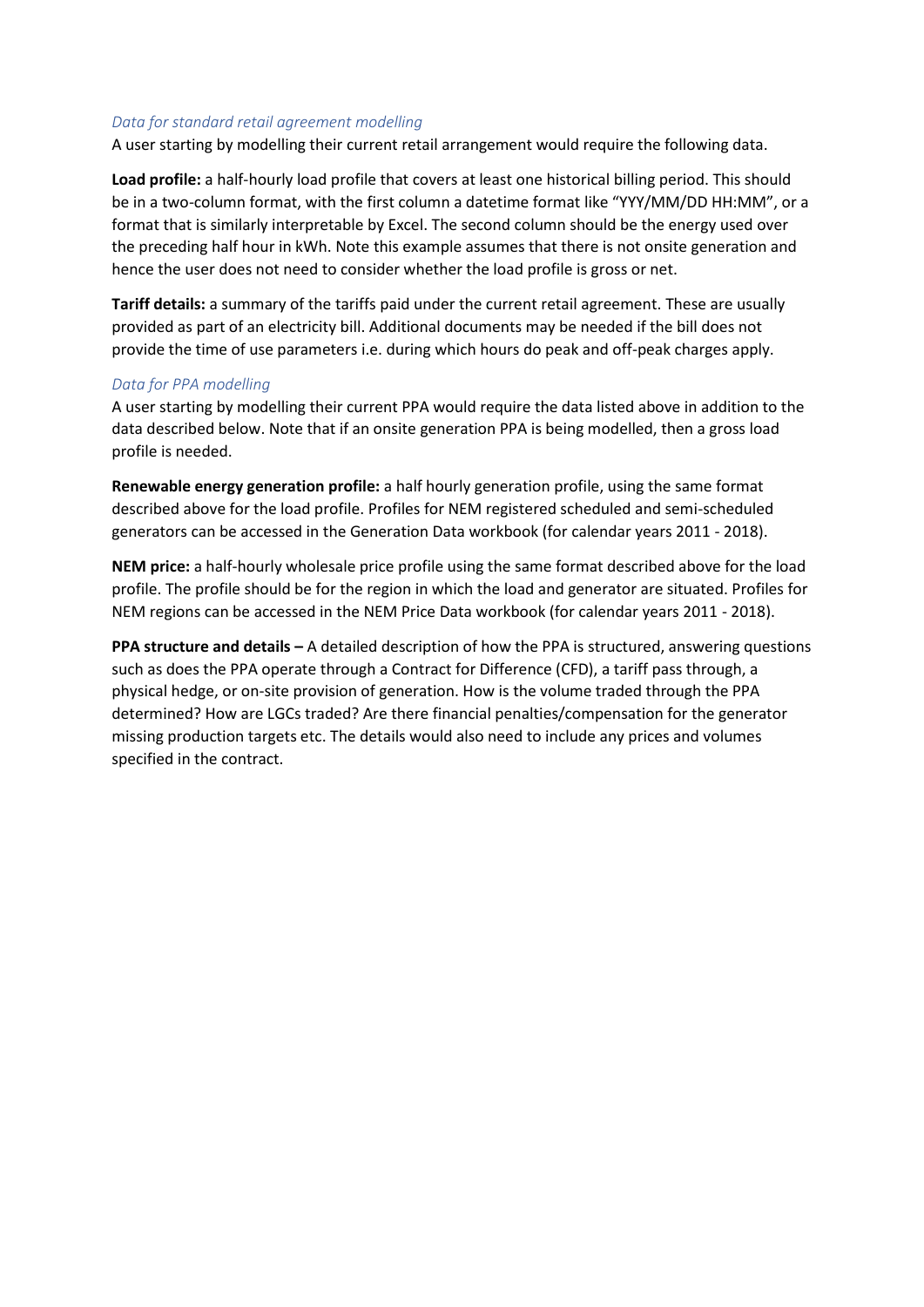#### *Data for standard retail agreement modelling*

A user starting by modelling their current retail arrangement would require the following data.

**Load profile:** a half-hourly load profile that covers at least one historical billing period. This should be in a two-column format, with the first column a datetime format like "YYY/MM/DD HH:MM", or a format that is similarly interpretable by Excel. The second column should be the energy used over the preceding half hour in kWh. Note this example assumes that there is not onsite generation and hence the user does not need to consider whether the load profile is gross or net.

**Tariff details:** a summary of the tariffs paid under the current retail agreement. These are usually provided as part of an electricity bill. Additional documents may be needed if the bill does not provide the time of use parameters i.e. during which hours do peak and off-peak charges apply.

#### *Data for PPA modelling*

A user starting by modelling their current PPA would require the data listed above in addition to the data described below. Note that if an onsite generation PPA is being modelled, then a gross load profile is needed.

**Renewable energy generation profile:** a half hourly generation profile, using the same format described above for the load profile. Profiles for NEM registered scheduled and semi-scheduled generators can be accessed in the Generation Data workbook (for calendar years 2011 - 2018).

**NEM price:** a half-hourly wholesale price profile using the same format described above for the load profile. The profile should be for the region in which the load and generator are situated. Profiles for NEM regions can be accessed in the NEM Price Data workbook (for calendar years 2011 - 2018).

**PPA structure and details –** A detailed description of how the PPA is structured, answering questions such as does the PPA operate through a Contract for Difference (CFD), a tariff pass through, a physical hedge, or on-site provision of generation. How is the volume traded through the PPA determined? How are LGCs traded? Are there financial penalties/compensation for the generator missing production targets etc. The details would also need to include any prices and volumes specified in the contract.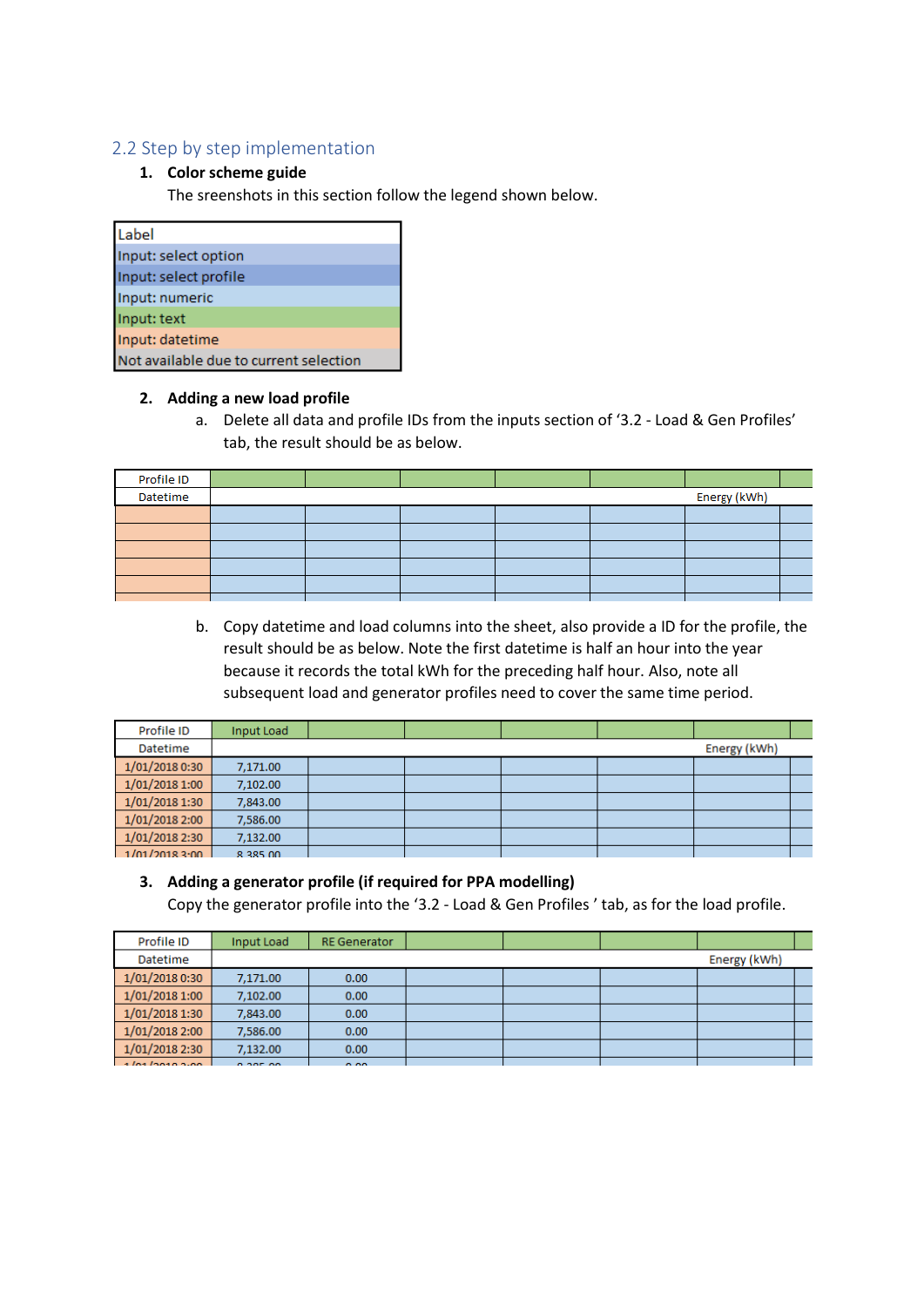# <span id="page-3-0"></span>2.2 Step by step implementation

#### **1. Color scheme guide**

The sreenshots in this section follow the legend shown below.

| Label                                  |
|----------------------------------------|
| Input: select option                   |
| Input: select profile                  |
| Input: numeric                         |
| Input: text                            |
| Input: datetime                        |
| Not available due to current selection |

#### **2. Adding a new load profile**

a. Delete all data and profile IDs from the inputs section of '3.2 - Load & Gen Profiles' tab, the result should be as below.

| Profile ID |  |  |  |  |  |              |  |
|------------|--|--|--|--|--|--------------|--|
| Datetime   |  |  |  |  |  | Energy (kWh) |  |
|            |  |  |  |  |  |              |  |
|            |  |  |  |  |  |              |  |
|            |  |  |  |  |  |              |  |
|            |  |  |  |  |  |              |  |
|            |  |  |  |  |  |              |  |
|            |  |  |  |  |  |              |  |

b. Copy datetime and load columns into the sheet, also provide a ID for the profile, the result should be as below. Note the first datetime is half an hour into the year because it records the total kWh for the preceding half hour. Also, note all subsequent load and generator profiles need to cover the same time period.

| Profile ID       | Input Load |  |  |              |  |
|------------------|------------|--|--|--------------|--|
| Datetime         |            |  |  | Energy (kWh) |  |
| 1/01/2018 0:30   | 7,171.00   |  |  |              |  |
| $1/01/2018$ 1:00 | 7,102.00   |  |  |              |  |
| 1/01/2018 1:30   | 7,843.00   |  |  |              |  |
| 1/01/2018 2:00   | 7,586.00   |  |  |              |  |
| 1/01/2018 2:30   | 7,132.00   |  |  |              |  |
| 1/01/20183:00    | 8 385 00   |  |  |              |  |

#### **3. Adding a generator profile (if required for PPA modelling)**

Copy the generator profile into the '3.2 - Load & Gen Profiles ' tab, as for the load profile.

| Profile ID     | Input Load | <b>RE</b> Generator |  |              |  |
|----------------|------------|---------------------|--|--------------|--|
| Datetime       |            |                     |  | Energy (kWh) |  |
| 1/01/2018 0:30 | 7.171.00   | 0.00                |  |              |  |
| 1/01/2018 1:00 | 7,102.00   | 0.00                |  |              |  |
| 1/01/2018 1:30 | 7,843,00   | 0.00                |  |              |  |
| 1/01/2018 2:00 | 7.586.00   | 0.00                |  |              |  |
| 1/01/2018 2:30 | 7,132.00   | 0.00                |  |              |  |
| 1012222222     | 0.205.00   | 0.00                |  |              |  |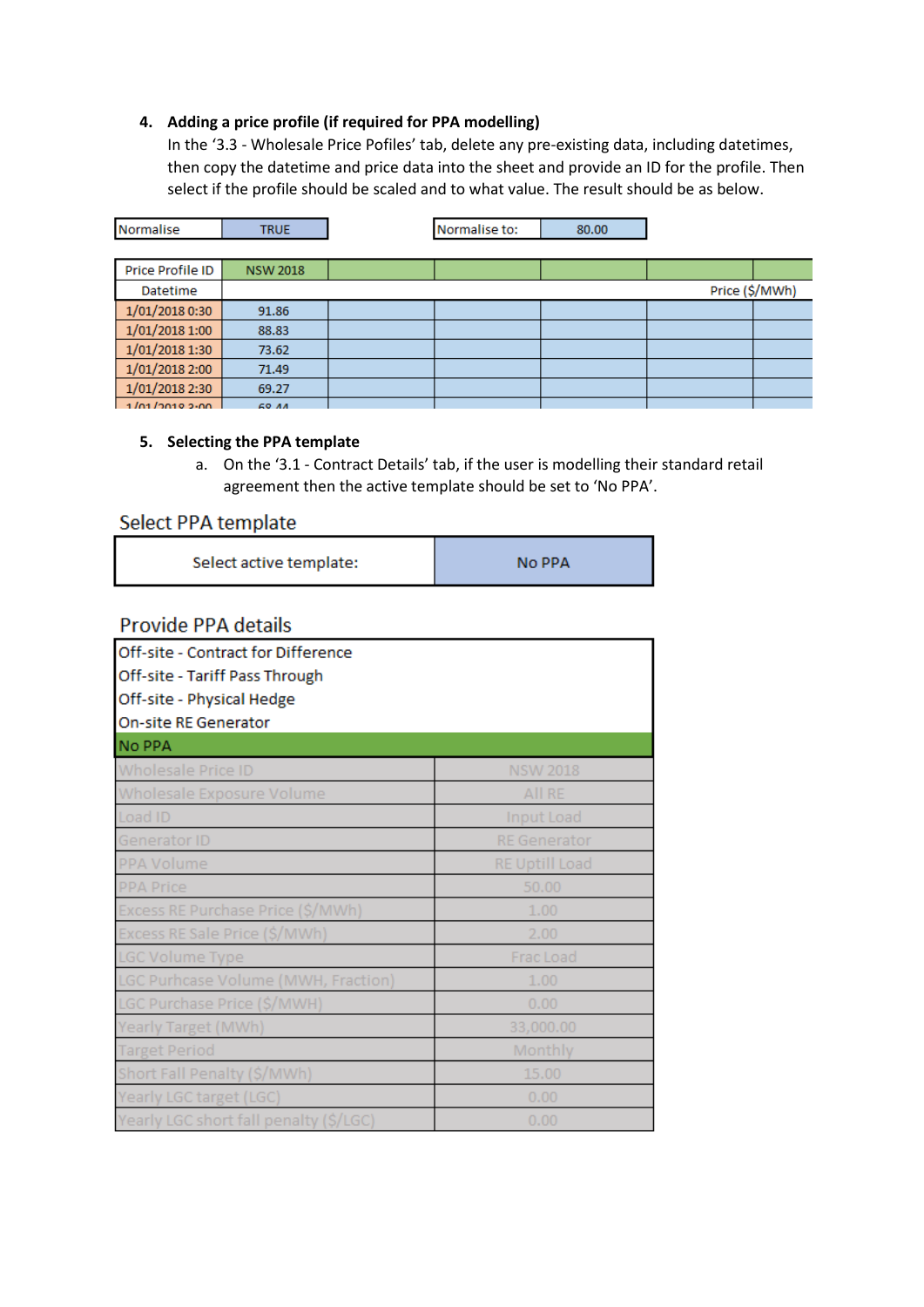#### **4. Adding a price profile (if required for PPA modelling)**

In the '3.3 - Wholesale Price Pofiles' tab, delete any pre-existing data, including datetimes, then copy the datetime and price data into the sheet and provide an ID for the profile. Then select if the profile should be scaled and to what value. The result should be as below.

| Normalise        | <b>TRUE</b>     | Normalise to: | 80.00 |                |
|------------------|-----------------|---------------|-------|----------------|
|                  |                 |               |       |                |
| Price Profile ID | <b>NSW 2018</b> |               |       |                |
| Datetime         |                 |               |       | Price (\$/MWh) |
| 1/01/2018 0:30   | 91.86           |               |       |                |
| 1/01/2018 1:00   | 88.83           |               |       |                |
| 1/01/2018 1:30   | 73.62           |               |       |                |
| 1/01/2018 2:00   | 71.49           |               |       |                |
| 1/01/2018 2:30   | 69.27           |               |       |                |
| 101/20102.00     | CO AA           |               |       |                |

### **5. Selecting the PPA template**

a. On the '3.1 - Contract Details' tab, if the user is modelling their standard retail agreement then the active template should be set to 'No PPA'.

# Select PPA template

Select active template: **No PPA** 

# **Provide PPA details**

| Off-site - Contract for Difference<br>Off-site - Tariff Pass Through<br>Off-site - Physical Hedge<br>On-site RE Generator |                       |
|---------------------------------------------------------------------------------------------------------------------------|-----------------------|
| No PPA                                                                                                                    |                       |
| <b>Wholesale Price ID</b>                                                                                                 | <b>NSW 2018</b>       |
| Wholesale Exposure Volume                                                                                                 | All RE                |
| Load ID                                                                                                                   | <b>Input Load</b>     |
| Generator ID                                                                                                              | <b>RE</b> Generator   |
| PPA Volume                                                                                                                | <b>RE Uptill Load</b> |
| <b>PPA Price</b>                                                                                                          | 50.00                 |
| Excess RE Purchase Price (\$/MWh)                                                                                         | 1.00                  |
| Excess RE Sale Price (\$/MWh)                                                                                             | 2.00                  |
| LGC Volume Type                                                                                                           | Frac Load             |
| LGC Purhcase Volume (MWH, Fraction)                                                                                       | 1.00                  |
| LGC Purchase Price (\$/MWH)                                                                                               | 0.00                  |
| Yearly Target (MWh)                                                                                                       | 33,000.00             |
| <b>Target Period</b>                                                                                                      | Monthly               |
| Short Fall Penalty (\$/MWh)                                                                                               | 15.00                 |
| Yearly LGC target (LGC)                                                                                                   | 0.00                  |
| Yearly LGC short fall penalty (\$/LGC)                                                                                    | 0.00                  |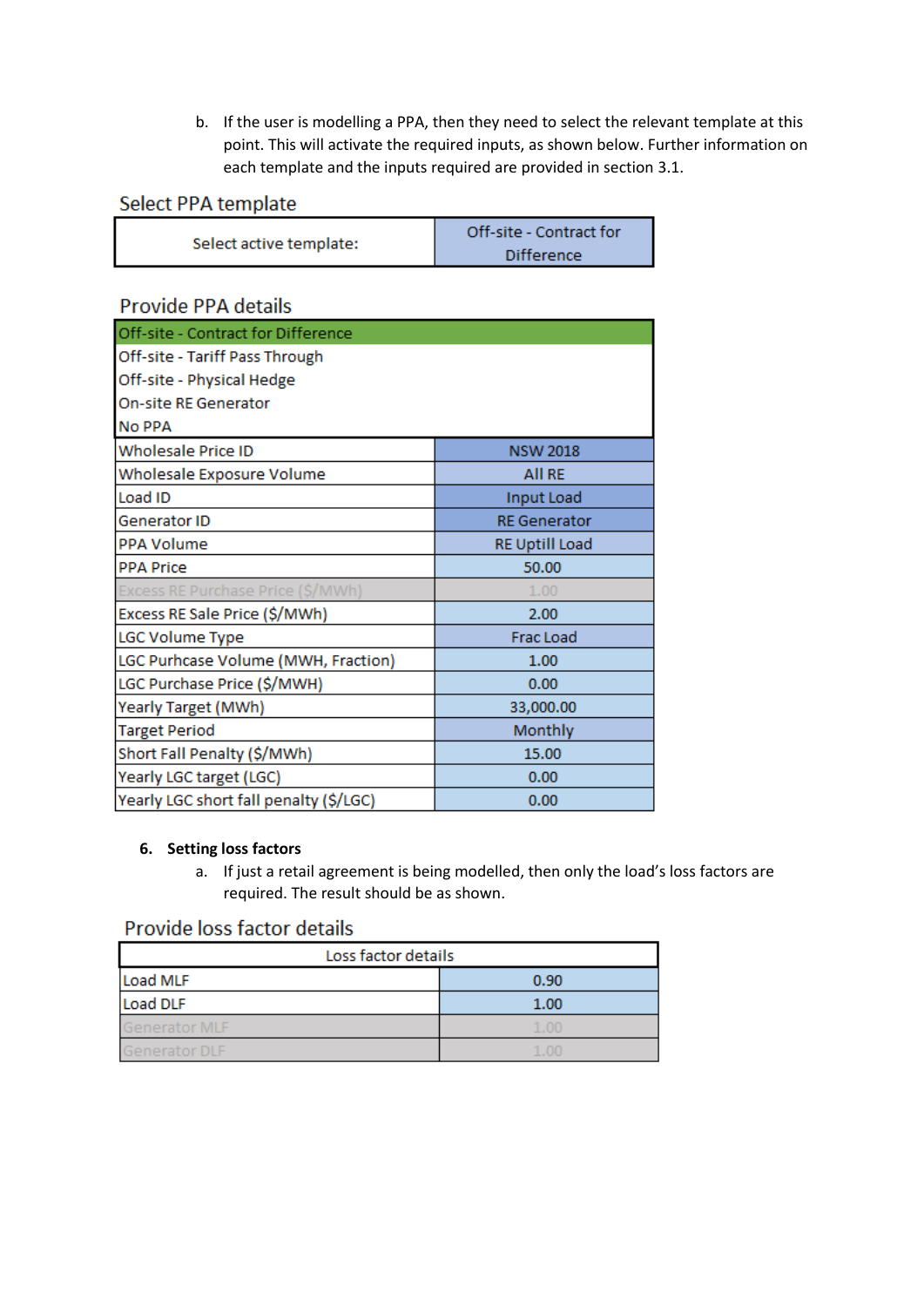b. If the user is modelling a PPA, then they need to select the relevant template at this point. This will activate the required inputs, as shown below. Further information on each template and the inputs required are provided in section 3.1.

# Select PPA template

| Select active template: | Off-site - Contract for |
|-------------------------|-------------------------|
|                         | <b>Difference</b>       |

# Provide PPA details

| Off-site - Contract for Difference     |                       |
|----------------------------------------|-----------------------|
| Off-site - Tariff Pass Through         |                       |
| Off-site - Physical Hedge              |                       |
| <b>On-site RE Generator</b>            |                       |
| <b>No PPA</b>                          |                       |
| Wholesale Price ID                     | <b>NSW 2018</b>       |
| Wholesale Exposure Volume              | <b>All RE</b>         |
| Load ID                                | Input Load            |
| <b>Generator ID</b>                    | <b>RE</b> Generator   |
| <b>PPA Volume</b>                      | <b>RE Uptill Load</b> |
| <b>PPA Price</b>                       | 50.00                 |
| Excess RE Purchase Price (\$/MWh)      | 1.00                  |
| Excess RE Sale Price (\$/MWh)          | 2.00                  |
| LGC Volume Type                        | Frac Load             |
| LGC Purhcase Volume (MWH, Fraction)    | 1.00                  |
| LGC Purchase Price (\$/MWH)            | 0.00                  |
| Yearly Target (MWh)                    | 33,000.00             |
| <b>Target Period</b>                   | Monthly               |
| Short Fall Penalty (\$/MWh)            | 15.00                 |
| Yearly LGC target (LGC)                | 0.00                  |
| Yearly LGC short fall penalty (\$/LGC) | 0.00                  |

#### **6. Setting loss factors**

a. If just a retail agreement is being modelled, then only the load's loss factors are required. The result should be as shown.

# Provide loss factor details

| Loss factor details  |      |  |  |  |
|----------------------|------|--|--|--|
| Load MLF             | 0.90 |  |  |  |
| Load DLF             | 1.00 |  |  |  |
| Generator MLF        | 1.00 |  |  |  |
| <b>Generator DLF</b> | 1.00 |  |  |  |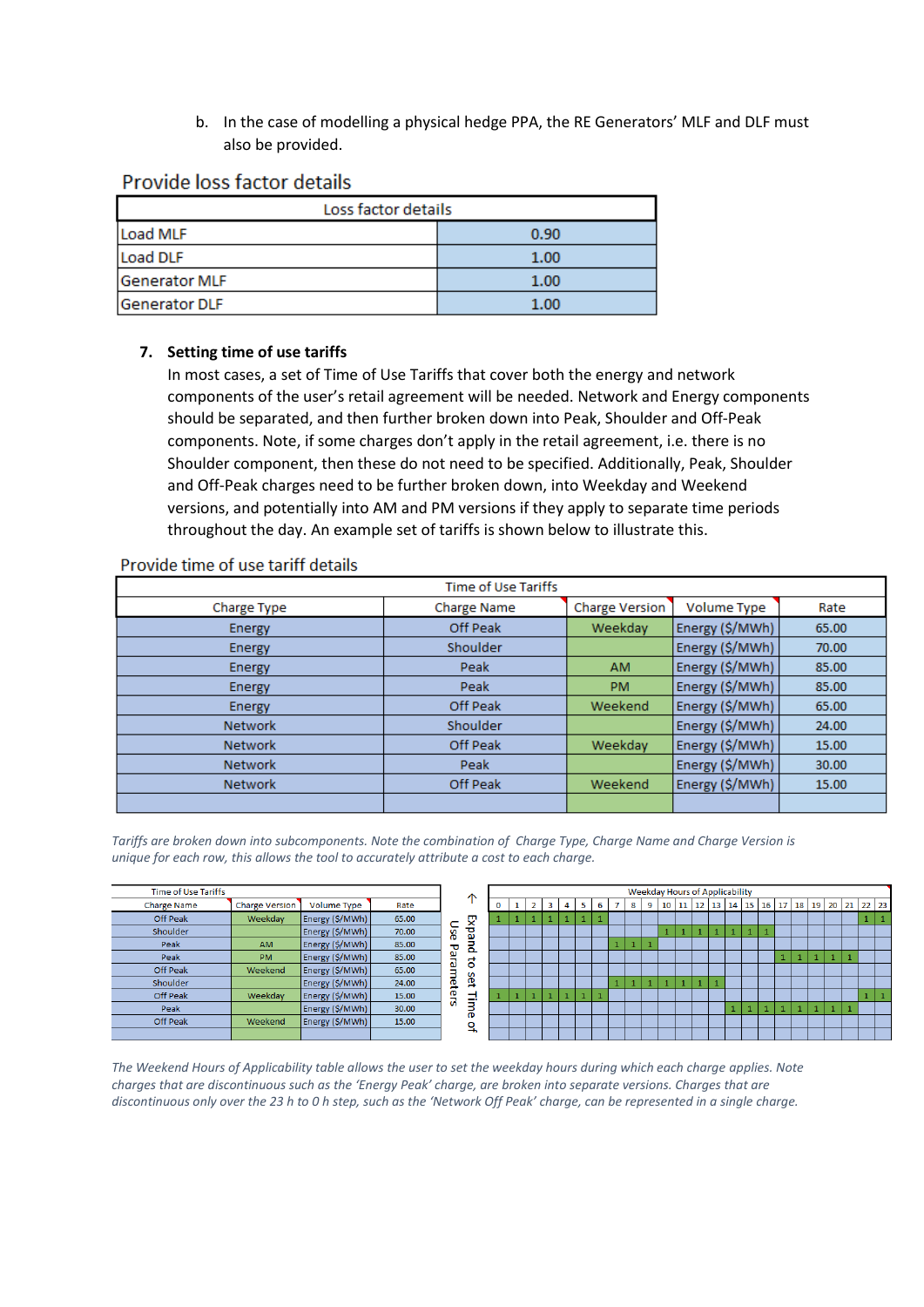b. In the case of modelling a physical hedge PPA, the RE Generators' MLF and DLF must also be provided.

# Provide loss factor details

| Loss factor details  |      |  |  |  |
|----------------------|------|--|--|--|
| Load MLF             | 0.90 |  |  |  |
| Load DLF             | 1.00 |  |  |  |
| Generator MLF        | 1.00 |  |  |  |
| <b>Generator DLF</b> | 1.00 |  |  |  |

## **7. Setting time of use tariffs**

In most cases, a set of Time of Use Tariffs that cover both the energy and network components of the user's retail agreement will be needed. Network and Energy components should be separated, and then further broken down into Peak, Shoulder and Off-Peak components. Note, if some charges don't apply in the retail agreement, i.e. there is no Shoulder component, then these do not need to be specified. Additionally, Peak, Shoulder and Off-Peak charges need to be further broken down, into Weekday and Weekend versions, and potentially into AM and PM versions if they apply to separate time periods throughout the day. An example set of tariffs is shown below to illustrate this.

| <b>Time of Use Tariffs</b> |                    |                       |                 |       |  |
|----------------------------|--------------------|-----------------------|-----------------|-------|--|
| Charge Type                | <b>Charge Name</b> | <b>Charge Version</b> | Volume Type     | Rate  |  |
| Energy                     | Off Peak           | Weekday               | Energy (\$/MWh) | 65.00 |  |
| <b>Energy</b>              | Shoulder           |                       | Energy (\$/MWh) | 70.00 |  |
| <b>Energy</b>              | Peak               | AM.                   | Energy (\$/MWh) | 85.00 |  |
| Energy                     | Peak               | <b>PM</b>             | Energy (\$/MWh) | 85.00 |  |
| Energy                     | Off Peak           | Weekend               | Energy (\$/MWh) | 65.00 |  |
| <b>Network</b>             | Shoulder           |                       | Energy (\$/MWh) | 24.00 |  |
| <b>Network</b>             | Off Peak           | Weekday               | Energy (\$/MWh) | 15.00 |  |
| <b>Network</b>             | Peak               |                       | Energy (\$/MWh) | 30.00 |  |
| <b>Network</b>             | Off Peak           | Weekend               | Energy (\$/MWh) | 15.00 |  |
|                            |                    |                       |                 |       |  |

#### Provide time of use tariff details

Tariffs are broken down into subcomponents. Note the combination of Charge Type, Charge Name and Charge Version is *unique for each row, this allows the tool to accurately attribute a cost to each charge.* 

| <b>Time of Use Tariffs</b> |                       |                    |       |         |
|----------------------------|-----------------------|--------------------|-------|---------|
| <b>Charge Name</b>         | <b>Charge Version</b> | <b>Volume Type</b> | Rate  |         |
| <b>Off Peak</b>            | Weekdav               | Energy (\$/MWh)    | 65.00 |         |
| Shoulder                   |                       | Energy (\$/MWh)    | 70.00 | 8       |
| Peak                       | <b>AM</b>             | Energy (\$/MWh)    | 85.00 | ᠊ᠣ      |
| Peak                       | <b>PM</b>             | Energy (\$/MWh)    | 85.00 |         |
| Off Peak                   | Weekend               | Energy (\$/MWh)    | 65.00 |         |
| Shoulder                   |                       | Energy (\$/MWh)    | 24.00 | aramete |
| <b>Off Peak</b>            | Weekday               | Energy (\$/MWh)    | 15.00 | ū       |
| Peak                       |                       | Energy (\$/MWh)    | 30.00 |         |
| <b>Off Peak</b>            | Weekend               | Energy (\$/MWh)    | 15.00 |         |
|                            |                       |                    |       |         |



*The Weekend Hours of Applicability table allows the user to set the weekday hours during which each charge applies. Note charges that are discontinuous such as the 'Energy Peak' charge, are broken into separate versions. Charges that are discontinuous only over the 23 h to 0 h step, such as the 'Network Off Peak' charge, can be represented in a single charge.*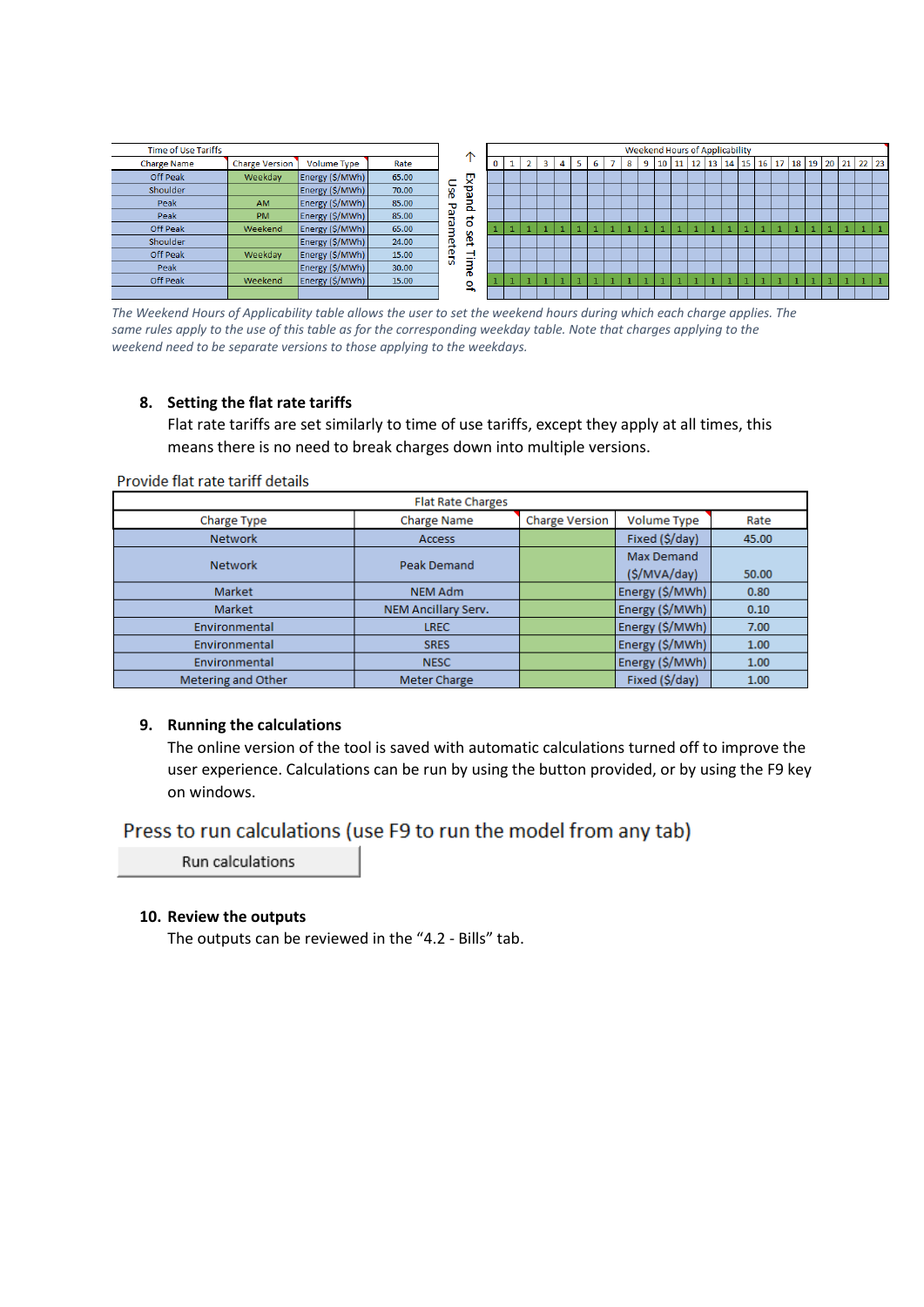<span id="page-7-0"></span>

*The Weekend Hours of Applicability table allows the user to set the weekend hours during which each charge applies. The*  same rules apply to the use of this table as for the corresponding weekday table. Note that charges applying to the *weekend need to be separate versions to those applying to the weekdays.*

#### **8. Setting the flat rate tariffs**

Flat rate tariffs are set similarly to time of use tariffs, except they apply at all times, this means there is no need to break charges down into multiple versions.

| <b>Flat Rate Charges</b>             |                     |              |                   |       |  |  |  |
|--------------------------------------|---------------------|--------------|-------------------|-------|--|--|--|
| Charge Type                          | <b>Charge Name</b>  | Volume Type  | Rate              |       |  |  |  |
| <b>Network</b>                       | <b>Access</b>       |              | Fixed (\$/day)    | 45.00 |  |  |  |
|                                      |                     |              | <b>Max Demand</b> |       |  |  |  |
| <b>Peak Demand</b><br><b>Network</b> |                     | (\$/MVA/day) | 50.00             |       |  |  |  |
| Market                               | <b>NEM Adm</b>      |              | Energy (\$/MWh)   | 0.80  |  |  |  |
| Market                               | NEM Ancillary Serv. |              | Energy (\$/MWh)   | 0.10  |  |  |  |
| Environmental                        | <b>LREC</b>         |              | Energy (\$/MWh)   | 7.00  |  |  |  |
| Environmental                        | <b>SRES</b>         |              | Energy (\$/MWh)   | 1.00  |  |  |  |
| Environmental                        | <b>NESC</b>         |              | Energy (\$/MWh)   | 1.00  |  |  |  |
| Metering and Other                   | Meter Charge        |              | Fixed (\$/day)    | 1.00  |  |  |  |

Provide flat rate tariff details

#### **9. Running the calculations**

The online version of the tool is saved with automatic calculations turned off to improve the user experience. Calculations can be run by using the button provided, or by using the F9 key on windows.

# Press to run calculations (use F9 to run the model from any tab)

Run calculations

#### **10. Review the outputs**

The outputs can be reviewed in the "4.2 - Bills" tab.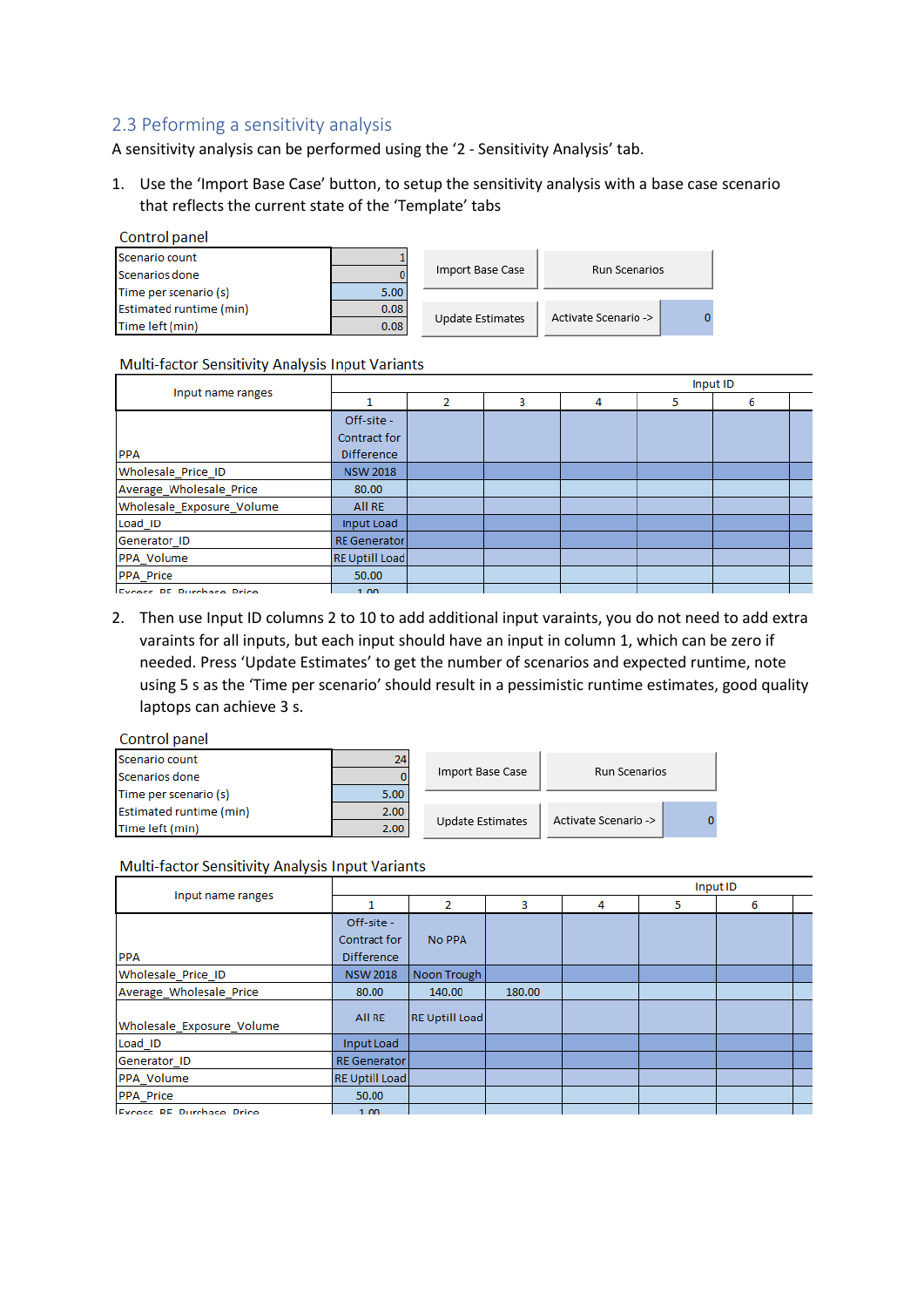## <span id="page-8-0"></span>2.3 Peforming a sensitivity analysis

A sensitivity analysis can be performed using the '2 - Sensitivity Analysis' tab.

1. Use the 'Import Base Case' button, to setup the sensitivity analysis with a base case scenario that reflects the current state of the 'Template' tabs

| Control panel           |      |                  |                      |  |
|-------------------------|------|------------------|----------------------|--|
| Scenario count          |      |                  |                      |  |
| Scenarios done          |      | Import Base Case | Run Scenarios        |  |
| Time per scenario (s)   | 5.00 |                  |                      |  |
| Estimated runtime (min) | 0.08 |                  | Activate Scenario -> |  |
| Time left (min)         | 0.08 | Update Estimates |                      |  |

#### Multi-factor Sensitivity Analysis Input Variants

| Input name ranges               | Input ID              |   |   |   |   |   |  |
|---------------------------------|-----------------------|---|---|---|---|---|--|
|                                 |                       | 2 | 3 | 4 | 5 | 6 |  |
|                                 | Off-site -            |   |   |   |   |   |  |
|                                 | Contract for          |   |   |   |   |   |  |
| <b>PPA</b>                      | <b>Difference</b>     |   |   |   |   |   |  |
| Wholesale Price ID              | <b>NSW 2018</b>       |   |   |   |   |   |  |
| Average_Wholesale_Price         | 80.00                 |   |   |   |   |   |  |
| Wholesale Exposure Volume       | All RE                |   |   |   |   |   |  |
| Load ID                         | Input Load            |   |   |   |   |   |  |
| Generator ID                    | <b>RE</b> Generator   |   |   |   |   |   |  |
| PPA Volume                      | <b>RE Uptill Load</b> |   |   |   |   |   |  |
| <b>PPA Price</b>                | 50.00                 |   |   |   |   |   |  |
| <b>Evroce RE Durchaso Drico</b> | 1.00                  |   |   |   |   |   |  |

2. Then use Input ID columns 2 to 10 to add additional input varaints, you do not need to add extra varaints for all inputs, but each input should have an input in column 1, which can be zero if needed. Press 'Update Estimates' to get the number of scenarios and expected runtime, note using 5 s as the 'Time per scenario' should result in a pessimistic runtime estimates, good quality laptops can achieve 3 s.

#### Control panel

| Scenario count                 | 24   |                  |                      |  |  |
|--------------------------------|------|------------------|----------------------|--|--|
| Scenarios done                 |      | Import Base Case | Run Scenarios        |  |  |
| Time per scenario (s)          | 5.00 |                  |                      |  |  |
| <b>Estimated runtime (min)</b> | 2.00 |                  |                      |  |  |
| Time left (min)                | 2.00 | Update Estimates | Activate Scenario -> |  |  |

#### Multi-factor Sensitivity Analysis Input Variants

|                                 | Input ID                          |                       |        |   |   |   |  |
|---------------------------------|-----------------------------------|-----------------------|--------|---|---|---|--|
| Input name ranges               |                                   | 2                     | 3      | 4 | 5 | 6 |  |
|                                 | Off-site -                        |                       |        |   |   |   |  |
| <b>PPA</b>                      | Contract for<br><b>Difference</b> | No PPA                |        |   |   |   |  |
| Wholesale Price ID              | <b>NSW 2018</b>                   | Noon Trough           |        |   |   |   |  |
| Average_Wholesale_Price         | 80.00                             | 140.00                | 180.00 |   |   |   |  |
| Wholesale Exposure Volume       | All RE                            | <b>RE Uptill Load</b> |        |   |   |   |  |
| Load ID                         | Input Load                        |                       |        |   |   |   |  |
| Generator ID                    | <b>RE</b> Generator               |                       |        |   |   |   |  |
| PPA Volume                      | <b>RE Uptill Load</b>             |                       |        |   |   |   |  |
| <b>PPA Price</b>                | 50.00                             |                       |        |   |   |   |  |
| <b>Excess RF Purchase Price</b> | 1.00 <sub>1</sub>                 |                       |        |   |   |   |  |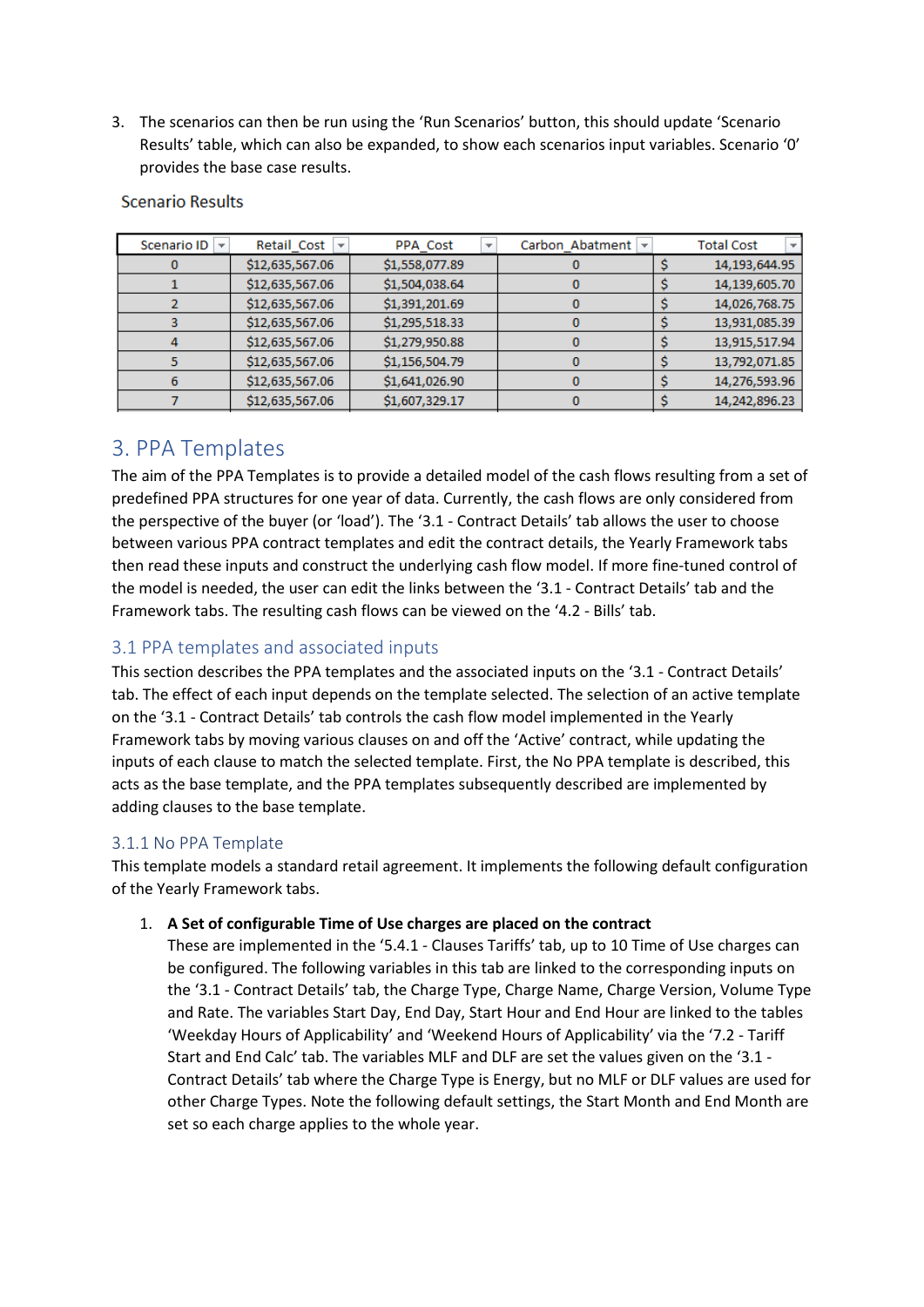3. The scenarios can then be run using the 'Run Scenarios' button, this should update 'Scenario Results' table, which can also be expanded, to show each scenarios input variables. Scenario '0' provides the base case results.

| Scenario ID<br>$\overline{\phantom{a}}$ | Retail Cost<br>$\overline{\phantom{a}}$ | PPA Cost<br>$\overline{\phantom{a}}$ | Carbon Abatment<br>$\overline{\phantom{a}}$ | <b>Total Cost</b> |
|-----------------------------------------|-----------------------------------------|--------------------------------------|---------------------------------------------|-------------------|
|                                         | \$12,635,567.06                         | \$1,558,077.89                       |                                             | 14,193,644.95     |
|                                         | \$12,635,567.06                         | \$1,504,038.64                       |                                             | 14,139,605.70     |
|                                         | \$12,635,567.06                         | \$1,391,201.69                       |                                             | 14,026,768.75     |
|                                         | \$12,635,567.06                         | \$1,295,518.33                       |                                             | 13,931,085.39     |
|                                         | \$12,635,567.06                         | \$1,279,950.88                       |                                             | 13,915,517.94     |
|                                         | \$12,635,567.06                         | \$1,156,504.79                       |                                             | 13,792,071.85     |
| o                                       | \$12,635,567.06                         | \$1,641,026.90                       |                                             | 14,276,593.96     |
|                                         | \$12,635,567.06                         | \$1,607,329.17                       |                                             | 14,242,896.23     |

#### **Scenario Results**

# <span id="page-9-0"></span>3. PPA Templates

The aim of the PPA Templates is to provide a detailed model of the cash flows resulting from a set of predefined PPA structures for one year of data. Currently, the cash flows are only considered from the perspective of the buyer (or 'load'). The '3.1 - Contract Details' tab allows the user to choose between various PPA contract templates and edit the contract details, the Yearly Framework tabs then read these inputs and construct the underlying cash flow model. If more fine-tuned control of the model is needed, the user can edit the links between the '3.1 - Contract Details' tab and the Framework tabs. The resulting cash flows can be viewed on the '4.2 - Bills' tab.

# <span id="page-9-1"></span>3.1 PPA templates and associated inputs

This section describes the PPA templates and the associated inputs on the '3.1 - Contract Details' tab. The effect of each input depends on the template selected. The selection of an active template on the '3.1 - Contract Details' tab controls the cash flow model implemented in the Yearly Framework tabs by moving various clauses on and off the 'Active' contract, while updating the inputs of each clause to match the selected template. First, the No PPA template is described, this acts as the base template, and the PPA templates subsequently described are implemented by adding clauses to the base template.

# <span id="page-9-2"></span>3.1.1 No PPA Template

This template models a standard retail agreement. It implements the following default configuration of the Yearly Framework tabs.

#### 1. **A Set of configurable Time of Use charges are placed on the contract**

These are implemented in the '5.4.1 - Clauses Tariffs' tab, up to 10 Time of Use charges can be configured. The following variables in this tab are linked to the corresponding inputs on the '3.1 - Contract Details' tab, the Charge Type, Charge Name, Charge Version, Volume Type and Rate. The variables Start Day, End Day, Start Hour and End Hour are linked to the tables 'Weekday Hours of Applicability' and 'Weekend Hours of Applicability' via the '7.2 - Tariff Start and End Calc' tab. The variables MLF and DLF are set the values given on the '3.1 - Contract Details' tab where the Charge Type is Energy, but no MLF or DLF values are used for other Charge Types. Note the following default settings, the Start Month and End Month are set so each charge applies to the whole year.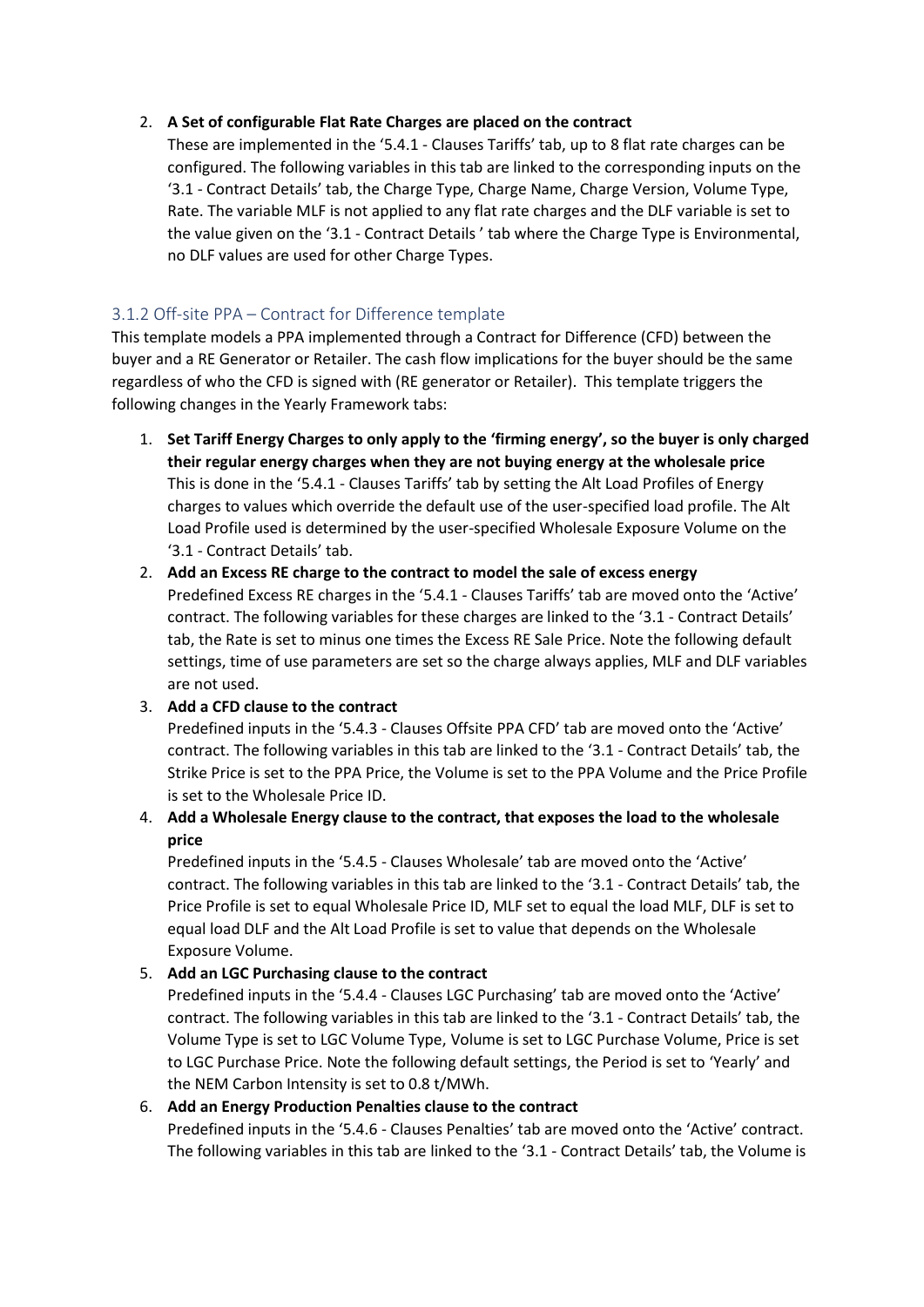#### 2. **A Set of configurable Flat Rate Charges are placed on the contract**

These are implemented in the '5.4.1 - Clauses Tariffs' tab, up to 8 flat rate charges can be configured. The following variables in this tab are linked to the corresponding inputs on the '3.1 - Contract Details' tab, the Charge Type, Charge Name, Charge Version, Volume Type, Rate. The variable MLF is not applied to any flat rate charges and the DLF variable is set to the value given on the '3.1 - Contract Details ' tab where the Charge Type is Environmental, no DLF values are used for other Charge Types.

## <span id="page-10-0"></span>3.1.2 Off-site PPA – Contract for Difference template

This template models a PPA implemented through a Contract for Difference (CFD) between the buyer and a RE Generator or Retailer. The cash flow implications for the buyer should be the same regardless of who the CFD is signed with (RE generator or Retailer). This template triggers the following changes in the Yearly Framework tabs:

- 1. **Set Tariff Energy Charges to only apply to the 'firming energy', so the buyer is only charged their regular energy charges when they are not buying energy at the wholesale price**  This is done in the '5.4.1 - Clauses Tariffs' tab by setting the Alt Load Profiles of Energy charges to values which override the default use of the user-specified load profile. The Alt Load Profile used is determined by the user-specified Wholesale Exposure Volume on the '3.1 - Contract Details' tab.
- 2. **Add an Excess RE charge to the contract to model the sale of excess energy** Predefined Excess RE charges in the '5.4.1 - Clauses Tariffs' tab are moved onto the 'Active' contract. The following variables for these charges are linked to the '3.1 - Contract Details' tab, the Rate is set to minus one times the Excess RE Sale Price. Note the following default settings, time of use parameters are set so the charge always applies, MLF and DLF variables are not used.

#### 3. **Add a CFD clause to the contract**

Predefined inputs in the '5.4.3 - Clauses Offsite PPA CFD' tab are moved onto the 'Active' contract. The following variables in this tab are linked to the '3.1 - Contract Details' tab, the Strike Price is set to the PPA Price, the Volume is set to the PPA Volume and the Price Profile is set to the Wholesale Price ID.

# 4. **Add a Wholesale Energy clause to the contract, that exposes the load to the wholesale price**

Predefined inputs in the '5.4.5 - Clauses Wholesale' tab are moved onto the 'Active' contract. The following variables in this tab are linked to the '3.1 - Contract Details' tab, the Price Profile is set to equal Wholesale Price ID, MLF set to equal the load MLF, DLF is set to equal load DLF and the Alt Load Profile is set to value that depends on the Wholesale Exposure Volume.

#### 5. **Add an LGC Purchasing clause to the contract**

Predefined inputs in the '5.4.4 - Clauses LGC Purchasing' tab are moved onto the 'Active' contract. The following variables in this tab are linked to the '3.1 - Contract Details' tab, the Volume Type is set to LGC Volume Type, Volume is set to LGC Purchase Volume, Price is set to LGC Purchase Price. Note the following default settings, the Period is set to 'Yearly' and the NEM Carbon Intensity is set to 0.8 t/MWh.

#### 6. **Add an Energy Production Penalties clause to the contract**

Predefined inputs in the '5.4.6 - Clauses Penalties' tab are moved onto the 'Active' contract. The following variables in this tab are linked to the '3.1 - Contract Details' tab, the Volume is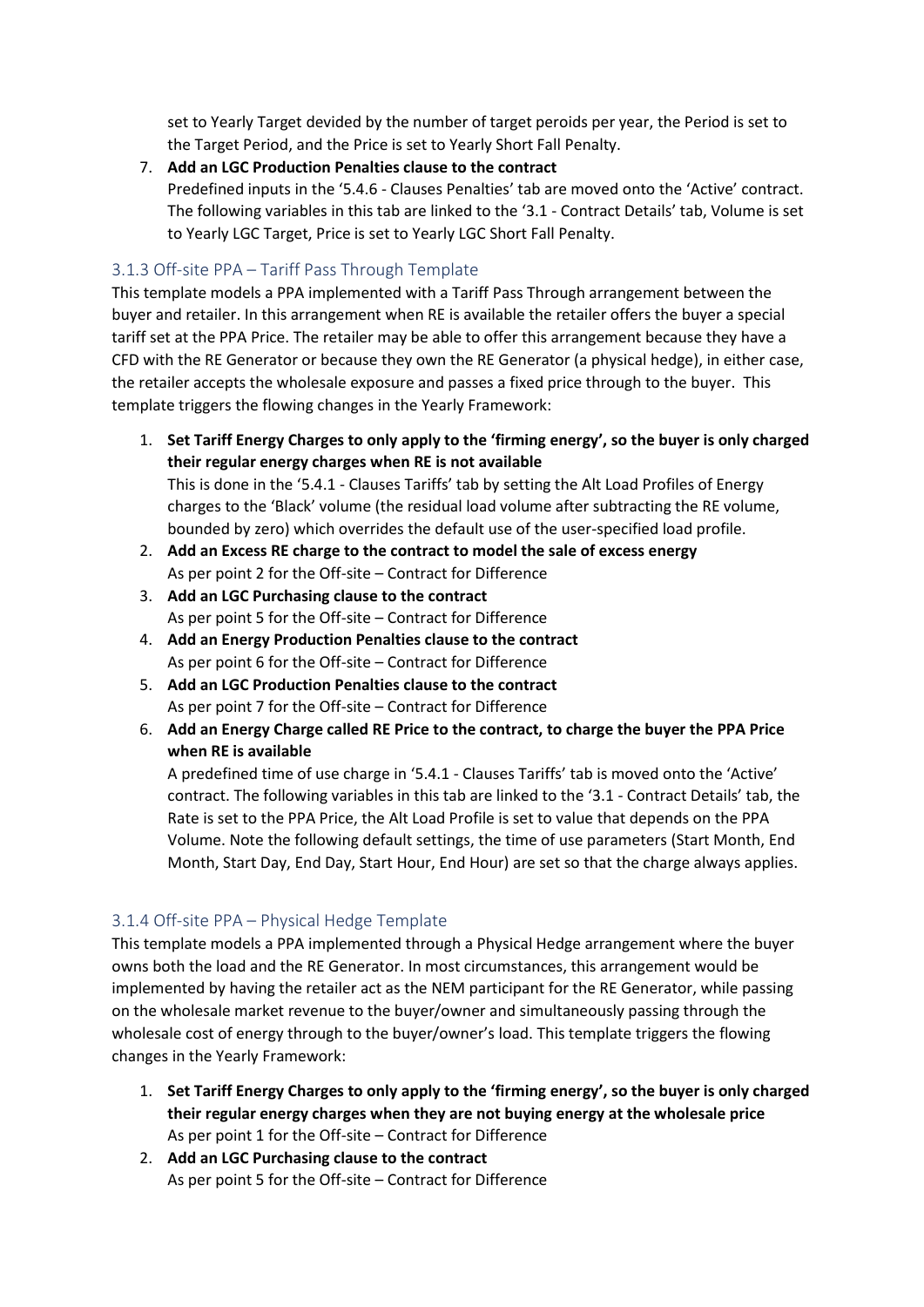set to Yearly Target devided by the number of target peroids per year, the Period is set to the Target Period, and the Price is set to Yearly Short Fall Penalty.

7. **Add an LGC Production Penalties clause to the contract**

Predefined inputs in the '5.4.6 - Clauses Penalties' tab are moved onto the 'Active' contract. The following variables in this tab are linked to the '3.1 - Contract Details' tab, Volume is set to Yearly LGC Target, Price is set to Yearly LGC Short Fall Penalty.

## <span id="page-11-0"></span>3.1.3 Off-site PPA – Tariff Pass Through Template

This template models a PPA implemented with a Tariff Pass Through arrangement between the buyer and retailer. In this arrangement when RE is available the retailer offers the buyer a special tariff set at the PPA Price. The retailer may be able to offer this arrangement because they have a CFD with the RE Generator or because they own the RE Generator (a physical hedge), in either case, the retailer accepts the wholesale exposure and passes a fixed price through to the buyer. This template triggers the flowing changes in the Yearly Framework:

- 1. **Set Tariff Energy Charges to only apply to the 'firming energy', so the buyer is only charged their regular energy charges when RE is not available**  This is done in the '5.4.1 - Clauses Tariffs' tab by setting the Alt Load Profiles of Energy charges to the 'Black' volume (the residual load volume after subtracting the RE volume, bounded by zero) which overrides the default use of the user-specified load profile.
- 2. **Add an Excess RE charge to the contract to model the sale of excess energy** As per point 2 for the Off-site – Contract for Difference
- 3. **Add an LGC Purchasing clause to the contract** As per point 5 for the Off-site – Contract for Difference
- 4. **Add an Energy Production Penalties clause to the contract** As per point 6 for the Off-site – Contract for Difference
- 5. **Add an LGC Production Penalties clause to the contract** As per point 7 for the Off-site – Contract for Difference
- 6. **Add an Energy Charge called RE Price to the contract, to charge the buyer the PPA Price when RE is available**

A predefined time of use charge in '5.4.1 - Clauses Tariffs' tab is moved onto the 'Active' contract. The following variables in this tab are linked to the '3.1 - Contract Details' tab, the Rate is set to the PPA Price, the Alt Load Profile is set to value that depends on the PPA Volume. Note the following default settings, the time of use parameters (Start Month, End Month, Start Day, End Day, Start Hour, End Hour) are set so that the charge always applies.

#### <span id="page-11-1"></span>3.1.4 Off-site PPA – Physical Hedge Template

This template models a PPA implemented through a Physical Hedge arrangement where the buyer owns both the load and the RE Generator. In most circumstances, this arrangement would be implemented by having the retailer act as the NEM participant for the RE Generator, while passing on the wholesale market revenue to the buyer/owner and simultaneously passing through the wholesale cost of energy through to the buyer/owner's load. This template triggers the flowing changes in the Yearly Framework:

- 1. **Set Tariff Energy Charges to only apply to the 'firming energy', so the buyer is only charged their regular energy charges when they are not buying energy at the wholesale price** As per point 1 for the Off-site – Contract for Difference
- 2. **Add an LGC Purchasing clause to the contract** As per point 5 for the Off-site – Contract for Difference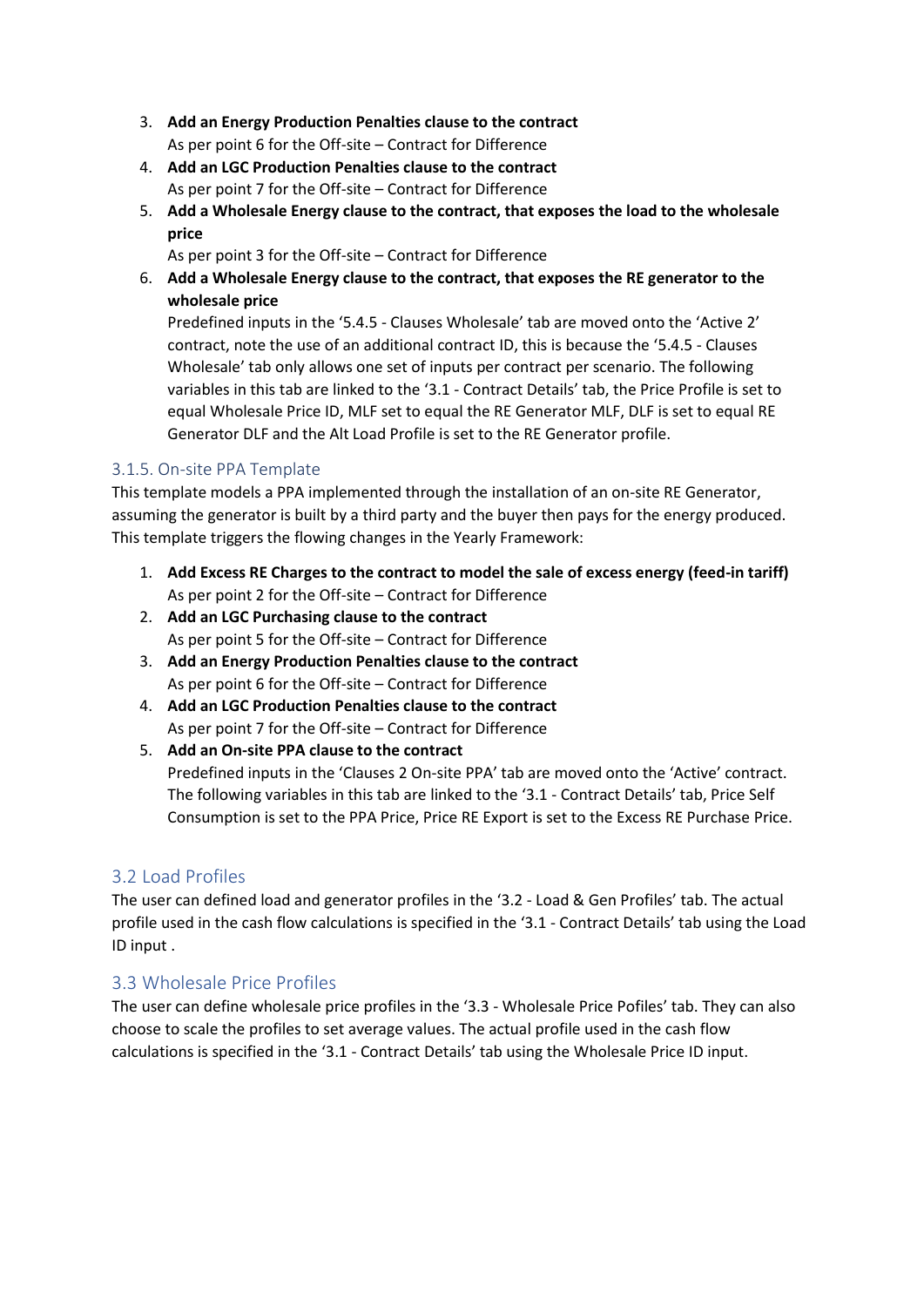- 3. **Add an Energy Production Penalties clause to the contract** As per point 6 for the Off-site – Contract for Difference
- 4. **Add an LGC Production Penalties clause to the contract** As per point 7 for the Off-site – Contract for Difference
- 5. **Add a Wholesale Energy clause to the contract, that exposes the load to the wholesale price**

As per point 3 for the Off-site – Contract for Difference

6. **Add a Wholesale Energy clause to the contract, that exposes the RE generator to the wholesale price**

Predefined inputs in the '5.4.5 - Clauses Wholesale' tab are moved onto the 'Active 2' contract, note the use of an additional contract ID, this is because the '5.4.5 - Clauses Wholesale' tab only allows one set of inputs per contract per scenario. The following variables in this tab are linked to the '3.1 - Contract Details' tab, the Price Profile is set to equal Wholesale Price ID, MLF set to equal the RE Generator MLF, DLF is set to equal RE Generator DLF and the Alt Load Profile is set to the RE Generator profile.

## <span id="page-12-0"></span>3.1.5. On-site PPA Template

This template models a PPA implemented through the installation of an on-site RE Generator, assuming the generator is built by a third party and the buyer then pays for the energy produced. This template triggers the flowing changes in the Yearly Framework:

- 1. **Add Excess RE Charges to the contract to model the sale of excess energy (feed-in tariff)** As per point 2 for the Off-site – Contract for Difference
- 2. **Add an LGC Purchasing clause to the contract** As per point 5 for the Off-site – Contract for Difference
- 3. **Add an Energy Production Penalties clause to the contract** As per point 6 for the Off-site – Contract for Difference
- 4. **Add an LGC Production Penalties clause to the contract** As per point 7 for the Off-site – Contract for Difference
- 5. **Add an On-site PPA clause to the contract** Predefined inputs in the 'Clauses 2 On-site PPA' tab are moved onto the 'Active' contract. The following variables in this tab are linked to the '3.1 - Contract Details' tab, Price Self Consumption is set to the PPA Price, Price RE Export is set to the Excess RE Purchase Price.

# <span id="page-12-1"></span>3.2 Load Profiles

The user can defined load and generator profiles in the '3.2 - Load & Gen Profiles' tab. The actual profile used in the cash flow calculations is specified in the '3.1 - Contract Details' tab using the Load ID input .

# <span id="page-12-2"></span>3.3 Wholesale Price Profiles

The user can define wholesale price profiles in the '3.3 - Wholesale Price Pofiles' tab. They can also choose to scale the profiles to set average values. The actual profile used in the cash flow calculations is specified in the '3.1 - Contract Details' tab using the Wholesale Price ID input.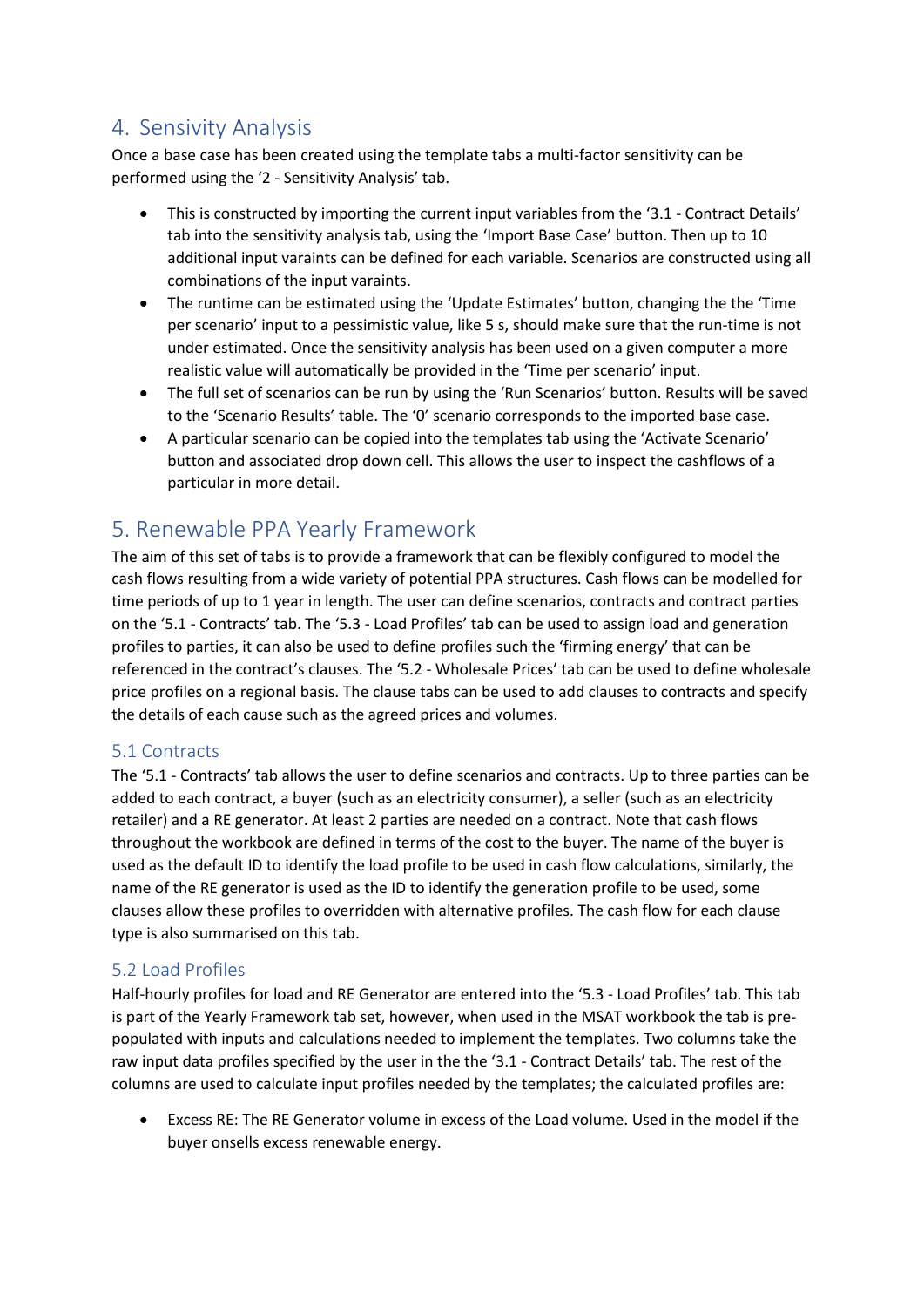# <span id="page-13-0"></span>4. Sensivity Analysis

Once a base case has been created using the template tabs a multi-factor sensitivity can be performed using the '2 - Sensitivity Analysis' tab.

- This is constructed by importing the current input variables from the '3.1 Contract Details' tab into the sensitivity analysis tab, using the 'Import Base Case' button. Then up to 10 additional input varaints can be defined for each variable. Scenarios are constructed using all combinations of the input varaints.
- The runtime can be estimated using the 'Update Estimates' button, changing the the 'Time per scenario' input to a pessimistic value, like 5 s, should make sure that the run-time is not under estimated. Once the sensitivity analysis has been used on a given computer a more realistic value will automatically be provided in the 'Time per scenario' input.
- The full set of scenarios can be run by using the 'Run Scenarios' button. Results will be saved to the 'Scenario Results' table. The '0' scenario corresponds to the imported base case.
- A particular scenario can be copied into the templates tab using the 'Activate Scenario' button and associated drop down cell. This allows the user to inspect the cashflows of a particular in more detail.

# <span id="page-13-1"></span>5. Renewable PPA Yearly Framework

The aim of this set of tabs is to provide a framework that can be flexibly configured to model the cash flows resulting from a wide variety of potential PPA structures. Cash flows can be modelled for time periods of up to 1 year in length. The user can define scenarios, contracts and contract parties on the '5.1 - Contracts' tab. The '5.3 - Load Profiles' tab can be used to assign load and generation profiles to parties, it can also be used to define profiles such the 'firming energy' that can be referenced in the contract's clauses. The '5.2 - Wholesale Prices' tab can be used to define wholesale price profiles on a regional basis. The clause tabs can be used to add clauses to contracts and specify the details of each cause such as the agreed prices and volumes.

# <span id="page-13-2"></span>5.1 Contracts

The '5.1 - Contracts' tab allows the user to define scenarios and contracts. Up to three parties can be added to each contract, a buyer (such as an electricity consumer), a seller (such as an electricity retailer) and a RE generator. At least 2 parties are needed on a contract. Note that cash flows throughout the workbook are defined in terms of the cost to the buyer. The name of the buyer is used as the default ID to identify the load profile to be used in cash flow calculations, similarly, the name of the RE generator is used as the ID to identify the generation profile to be used, some clauses allow these profiles to overridden with alternative profiles. The cash flow for each clause type is also summarised on this tab.

# <span id="page-13-3"></span>5.2 Load Profiles

Half-hourly profiles for load and RE Generator are entered into the '5.3 - Load Profiles' tab. This tab is part of the Yearly Framework tab set, however, when used in the MSAT workbook the tab is prepopulated with inputs and calculations needed to implement the templates. Two columns take the raw input data profiles specified by the user in the the '3.1 - Contract Details' tab. The rest of the columns are used to calculate input profiles needed by the templates; the calculated profiles are:

• Excess RE: The RE Generator volume in excess of the Load volume. Used in the model if the buyer onsells excess renewable energy.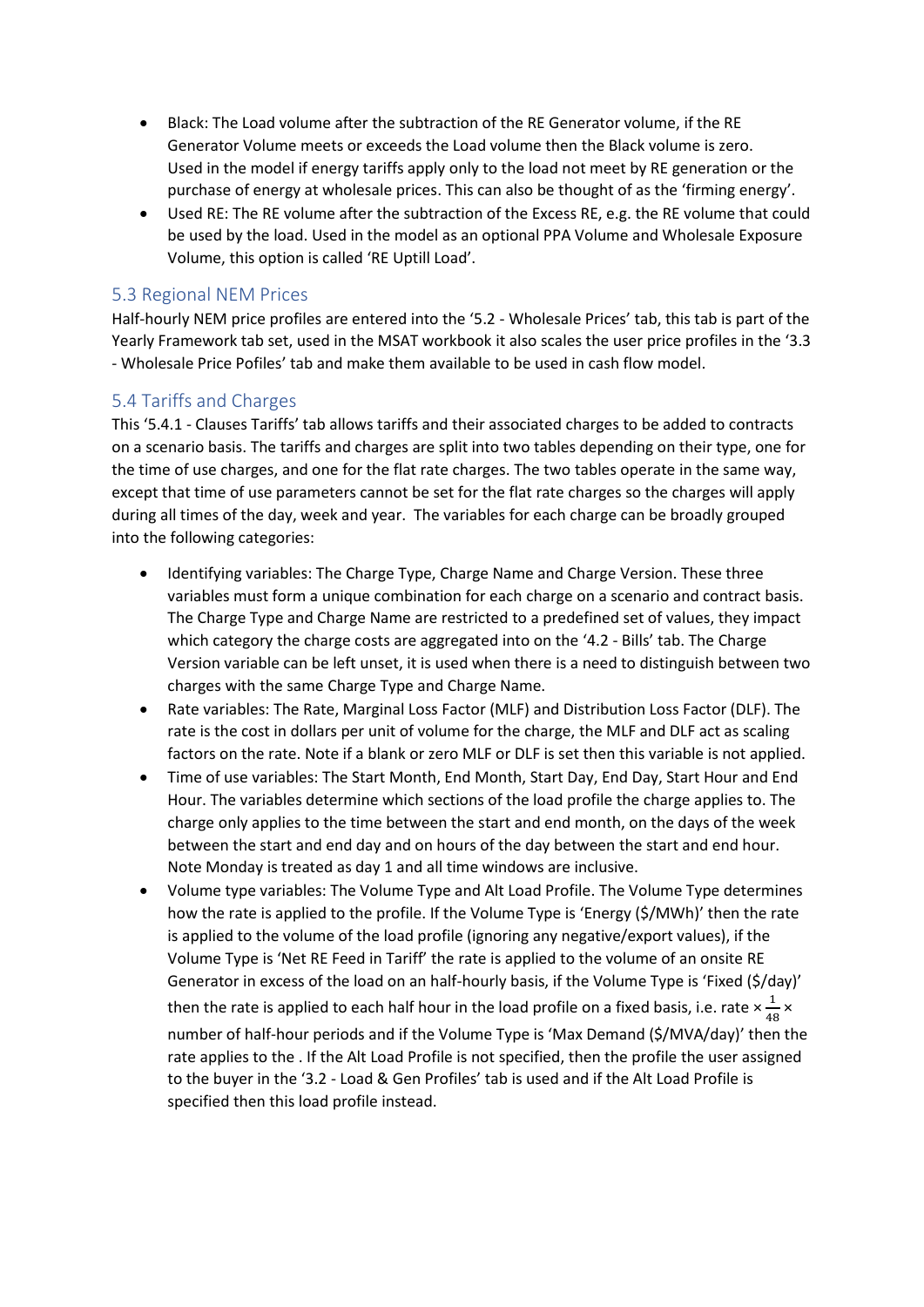- Black: The Load volume after the subtraction of the RE Generator volume, if the RE Generator Volume meets or exceeds the Load volume then the Black volume is zero. Used in the model if energy tariffs apply only to the load not meet by RE generation or the purchase of energy at wholesale prices. This can also be thought of as the 'firming energy'.
- Used RE: The RE volume after the subtraction of the Excess RE, e.g. the RE volume that could be used by the load. Used in the model as an optional PPA Volume and Wholesale Exposure Volume, this option is called 'RE Uptill Load'.

# <span id="page-14-0"></span>5.3 Regional NEM Prices

Half-hourly NEM price profiles are entered into the '5.2 - Wholesale Prices' tab, this tab is part of the Yearly Framework tab set, used in the MSAT workbook it also scales the user price profiles in the '3.3 - Wholesale Price Pofiles' tab and make them available to be used in cash flow model.

# <span id="page-14-1"></span>5.4 Tariffs and Charges

This '5.4.1 - Clauses Tariffs' tab allows tariffs and their associated charges to be added to contracts on a scenario basis. The tariffs and charges are split into two tables depending on their type, one for the time of use charges, and one for the flat rate charges. The two tables operate in the same way, except that time of use parameters cannot be set for the flat rate charges so the charges will apply during all times of the day, week and year. The variables for each charge can be broadly grouped into the following categories:

- Identifying variables: The Charge Type, Charge Name and Charge Version. These three variables must form a unique combination for each charge on a scenario and contract basis. The Charge Type and Charge Name are restricted to a predefined set of values, they impact which category the charge costs are aggregated into on the '4.2 - Bills' tab. The Charge Version variable can be left unset, it is used when there is a need to distinguish between two charges with the same Charge Type and Charge Name.
- Rate variables: The Rate, Marginal Loss Factor (MLF) and Distribution Loss Factor (DLF). The rate is the cost in dollars per unit of volume for the charge, the MLF and DLF act as scaling factors on the rate. Note if a blank or zero MLF or DLF is set then this variable is not applied.
- Time of use variables: The Start Month, End Month, Start Day, End Day, Start Hour and End Hour. The variables determine which sections of the load profile the charge applies to. The charge only applies to the time between the start and end month, on the days of the week between the start and end day and on hours of the day between the start and end hour. Note Monday is treated as day 1 and all time windows are inclusive.
- Volume type variables: The Volume Type and Alt Load Profile. The Volume Type determines how the rate is applied to the profile. If the Volume Type is 'Energy (\$/MWh)' then the rate is applied to the volume of the load profile (ignoring any negative/export values), if the Volume Type is 'Net RE Feed in Tariff' the rate is applied to the volume of an onsite RE Generator in excess of the load on an half-hourly basis, if the Volume Type is 'Fixed (\$/day)' then the rate is applied to each half hour in the load profile on a fixed basis, i.e. rate  $\times \frac{1}{4}$  $\frac{1}{48}$  × number of half-hour periods and if the Volume Type is 'Max Demand (\$/MVA/day)' then the rate applies to the . If the Alt Load Profile is not specified, then the profile the user assigned to the buyer in the '3.2 - Load & Gen Profiles' tab is used and if the Alt Load Profile is specified then this load profile instead.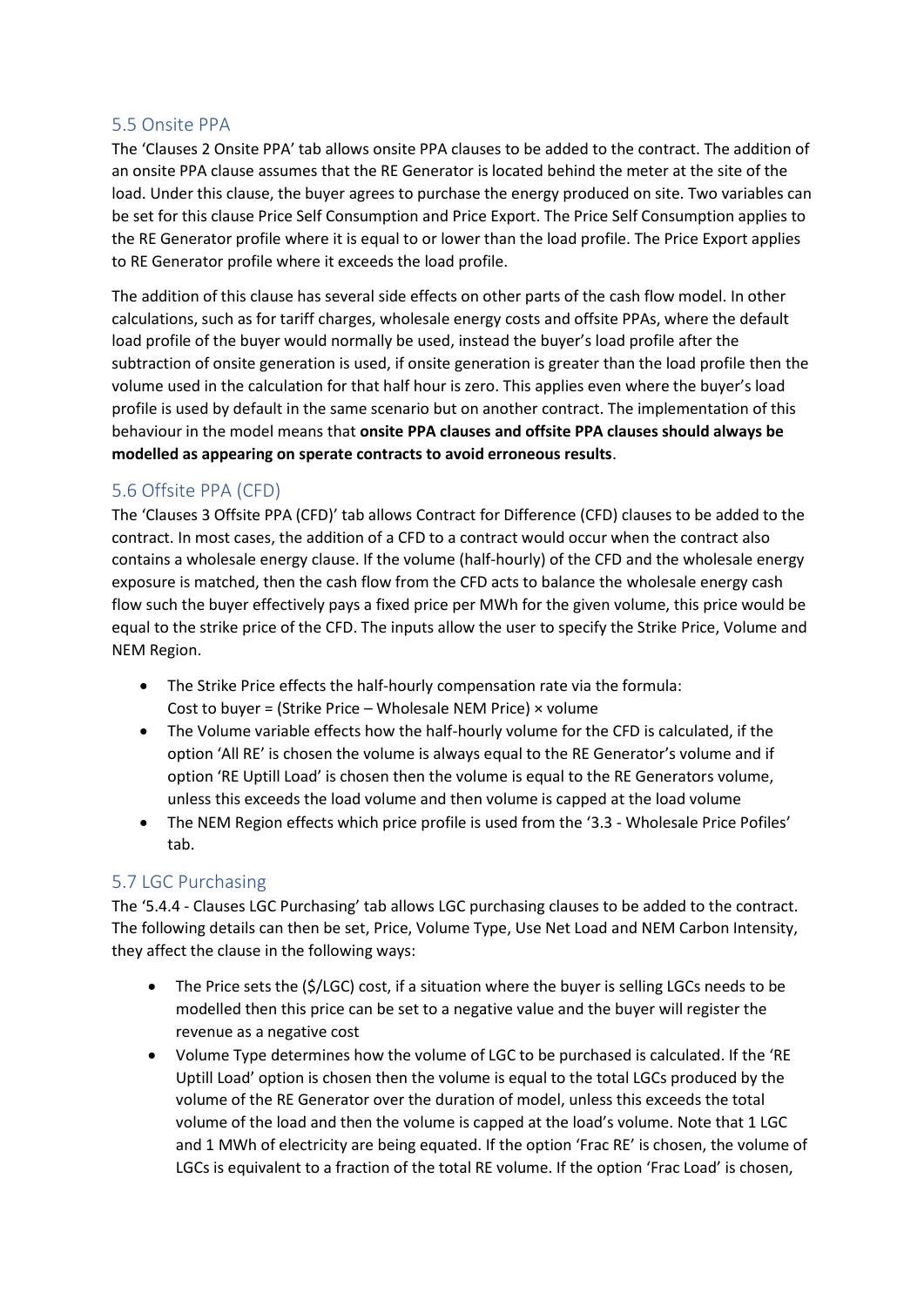#### <span id="page-15-0"></span>5.5 Onsite PPA

The 'Clauses 2 Onsite PPA' tab allows onsite PPA clauses to be added to the contract. The addition of an onsite PPA clause assumes that the RE Generator is located behind the meter at the site of the load. Under this clause, the buyer agrees to purchase the energy produced on site. Two variables can be set for this clause Price Self Consumption and Price Export. The Price Self Consumption applies to the RE Generator profile where it is equal to or lower than the load profile. The Price Export applies to RE Generator profile where it exceeds the load profile.

The addition of this clause has several side effects on other parts of the cash flow model. In other calculations, such as for tariff charges, wholesale energy costs and offsite PPAs, where the default load profile of the buyer would normally be used, instead the buyer's load profile after the subtraction of onsite generation is used, if onsite generation is greater than the load profile then the volume used in the calculation for that half hour is zero. This applies even where the buyer's load profile is used by default in the same scenario but on another contract. The implementation of this behaviour in the model means that **onsite PPA clauses and offsite PPA clauses should always be modelled as appearing on sperate contracts to avoid erroneous results**.

# <span id="page-15-1"></span>5.6 Offsite PPA (CFD)

The 'Clauses 3 Offsite PPA (CFD)' tab allows Contract for Difference (CFD) clauses to be added to the contract. In most cases, the addition of a CFD to a contract would occur when the contract also contains a wholesale energy clause. If the volume (half-hourly) of the CFD and the wholesale energy exposure is matched, then the cash flow from the CFD acts to balance the wholesale energy cash flow such the buyer effectively pays a fixed price per MWh for the given volume, this price would be equal to the strike price of the CFD. The inputs allow the user to specify the Strike Price, Volume and NEM Region.

- The Strike Price effects the half-hourly compensation rate via the formula: Cost to buyer = (Strike Price – Wholesale NEM Price) × volume
- The Volume variable effects how the half-hourly volume for the CFD is calculated, if the option 'All RE' is chosen the volume is always equal to the RE Generator's volume and if option 'RE Uptill Load' is chosen then the volume is equal to the RE Generators volume, unless this exceeds the load volume and then volume is capped at the load volume
- The NEM Region effects which price profile is used from the '3.3 Wholesale Price Pofiles' tab.

# <span id="page-15-2"></span>5.7 LGC Purchasing

The '5.4.4 - Clauses LGC Purchasing' tab allows LGC purchasing clauses to be added to the contract. The following details can then be set, Price, Volume Type, Use Net Load and NEM Carbon Intensity, they affect the clause in the following ways:

- The Price sets the (\$/LGC) cost, if a situation where the buyer is selling LGCs needs to be modelled then this price can be set to a negative value and the buyer will register the revenue as a negative cost
- Volume Type determines how the volume of LGC to be purchased is calculated. If the 'RE Uptill Load' option is chosen then the volume is equal to the total LGCs produced by the volume of the RE Generator over the duration of model, unless this exceeds the total volume of the load and then the volume is capped at the load's volume. Note that 1 LGC and 1 MWh of electricity are being equated. If the option 'Frac RE' is chosen, the volume of LGCs is equivalent to a fraction of the total RE volume. If the option 'Frac Load' is chosen,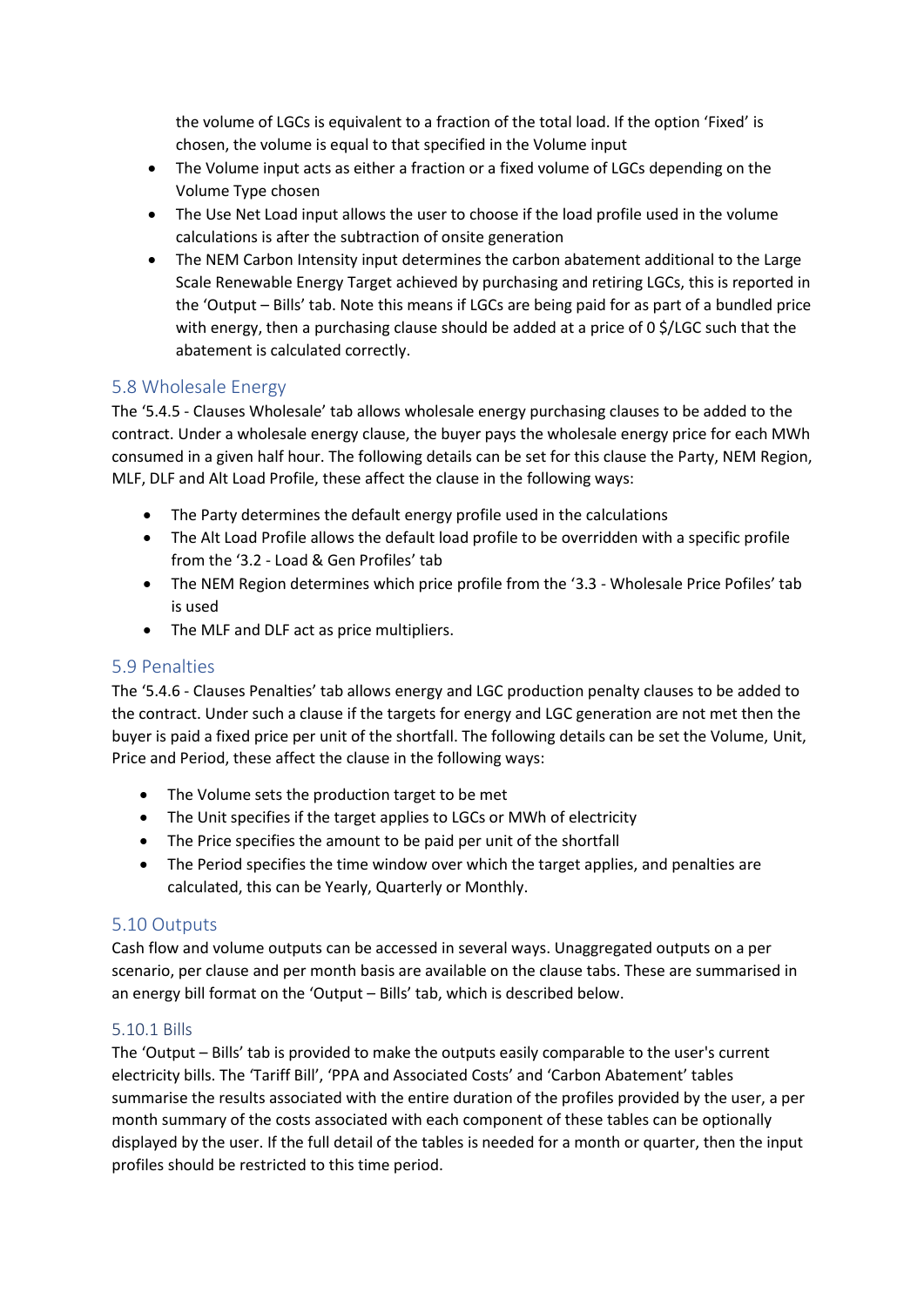the volume of LGCs is equivalent to a fraction of the total load. If the option 'Fixed' is chosen, the volume is equal to that specified in the Volume input

- The Volume input acts as either a fraction or a fixed volume of LGCs depending on the Volume Type chosen
- The Use Net Load input allows the user to choose if the load profile used in the volume calculations is after the subtraction of onsite generation
- The NEM Carbon Intensity input determines the carbon abatement additional to the Large Scale Renewable Energy Target achieved by purchasing and retiring LGCs, this is reported in the 'Output – Bills' tab. Note this means if LGCs are being paid for as part of a bundled price with energy, then a purchasing clause should be added at a price of 0 \$/LGC such that the abatement is calculated correctly.

# <span id="page-16-0"></span>5.8 Wholesale Energy

The '5.4.5 - Clauses Wholesale' tab allows wholesale energy purchasing clauses to be added to the contract. Under a wholesale energy clause, the buyer pays the wholesale energy price for each MWh consumed in a given half hour. The following details can be set for this clause the Party, NEM Region, MLF, DLF and Alt Load Profile, these affect the clause in the following ways:

- The Party determines the default energy profile used in the calculations
- The Alt Load Profile allows the default load profile to be overridden with a specific profile from the '3.2 - Load & Gen Profiles' tab
- The NEM Region determines which price profile from the '3.3 Wholesale Price Pofiles' tab is used
- The MLF and DLF act as price multipliers.

# <span id="page-16-1"></span>5.9 Penalties

The '5.4.6 - Clauses Penalties' tab allows energy and LGC production penalty clauses to be added to the contract. Under such a clause if the targets for energy and LGC generation are not met then the buyer is paid a fixed price per unit of the shortfall. The following details can be set the Volume, Unit, Price and Period, these affect the clause in the following ways:

- The Volume sets the production target to be met
- The Unit specifies if the target applies to LGCs or MWh of electricity
- The Price specifies the amount to be paid per unit of the shortfall
- The Period specifies the time window over which the target applies, and penalties are calculated, this can be Yearly, Quarterly or Monthly.

# <span id="page-16-2"></span>5.10 Outputs

Cash flow and volume outputs can be accessed in several ways. Unaggregated outputs on a per scenario, per clause and per month basis are available on the clause tabs. These are summarised in an energy bill format on the 'Output – Bills' tab, which is described below.

#### <span id="page-16-3"></span>5.10.1 Bills

The 'Output – Bills' tab is provided to make the outputs easily comparable to the user's current electricity bills. The 'Tariff Bill', 'PPA and Associated Costs' and 'Carbon Abatement' tables summarise the results associated with the entire duration of the profiles provided by the user, a per month summary of the costs associated with each component of these tables can be optionally displayed by the user. If the full detail of the tables is needed for a month or quarter, then the input profiles should be restricted to this time period.